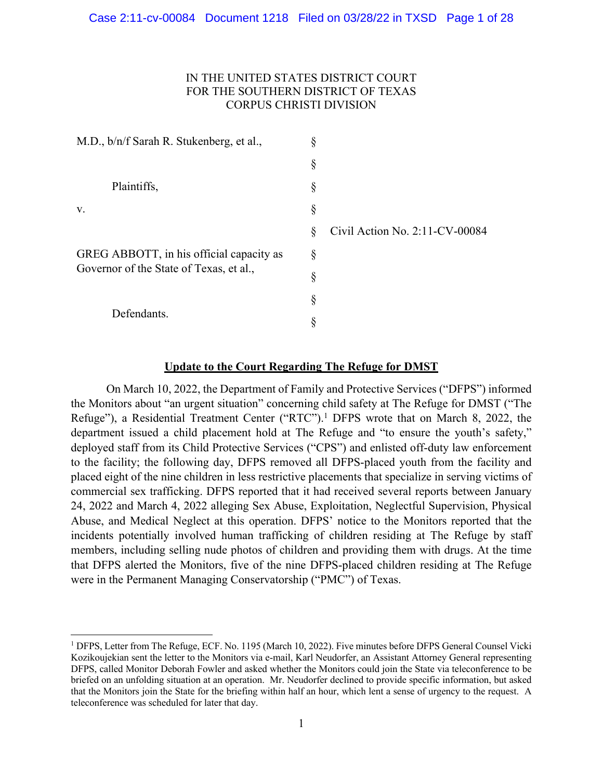# IN THE UNITED STATES DISTRICT COURT FOR THE SOUTHERN DISTRICT OF TEXAS CORPUS CHRISTI DIVISION

| M.D., b/n/f Sarah R. Stukenberg, et al.,                                            | \$ |                                |
|-------------------------------------------------------------------------------------|----|--------------------------------|
|                                                                                     | §  |                                |
| Plaintiffs,                                                                         | §  |                                |
| V.                                                                                  | §  |                                |
| GREG ABBOTT, in his official capacity as<br>Governor of the State of Texas, et al., | Ş  | Civil Action No. 2:11-CV-00084 |
|                                                                                     | Ş  |                                |
|                                                                                     | §  |                                |
| Defendants.                                                                         | §  |                                |
|                                                                                     | ş  |                                |

### **Update to the Court Regarding The Refuge for DMST**

On March 10, 2022, the Department of Family and Protective Services ("DFPS") informed the Monitors about "an urgent situation" concerning child safety at The Refuge for DMST ("The Refuge"), a Residential Treatment Center ("RTC"). <sup>1</sup> DFPS wrote that on March 8, 2022, the department issued a child placement hold at The Refuge and "to ensure the youth's safety," deployed staff from its Child Protective Services ("CPS") and enlisted off-duty law enforcement to the facility; the following day, DFPS removed all DFPS-placed youth from the facility and placed eight of the nine children in less restrictive placements that specialize in serving victims of commercial sex trafficking. DFPS reported that it had received several reports between January 24, 2022 and March 4, 2022 alleging Sex Abuse, Exploitation, Neglectful Supervision, Physical Abuse, and Medical Neglect at this operation. DFPS' notice to the Monitors reported that the incidents potentially involved human trafficking of children residing at The Refuge by staff members, including selling nude photos of children and providing them with drugs. At the time that DFPS alerted the Monitors, five of the nine DFPS-placed children residing at The Refuge were in the Permanent Managing Conservatorship ("PMC") of Texas.

<sup>&</sup>lt;sup>1</sup> DFPS, Letter from The Refuge, ECF. No. 1195 (March 10, 2022). Five minutes before DFPS General Counsel Vicki Kozikoujekian sent the letter to the Monitors via e-mail, Karl Neudorfer, an Assistant Attorney General representing DFPS, called Monitor Deborah Fowler and asked whether the Monitors could join the State via teleconference to be briefed on an unfolding situation at an operation. Mr. Neudorfer declined to provide specific information, but asked that the Monitors join the State for the briefing within half an hour, which lent a sense of urgency to the request. A teleconference was scheduled for later that day.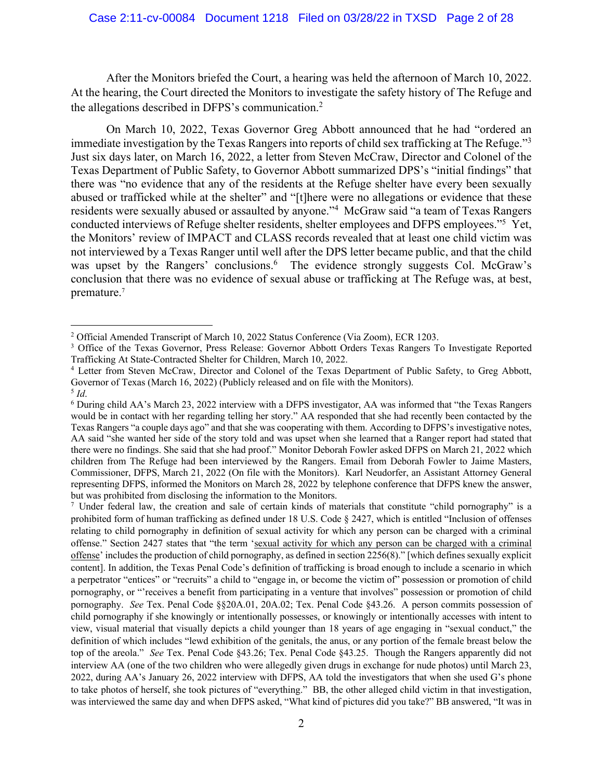After the Monitors briefed the Court, a hearing was held the afternoon of March 10, 2022. At the hearing, the Court directed the Monitors to investigate the safety history of The Refuge and the allegations described in DFPS's communication. 2

On March 10, 2022, Texas Governor Greg Abbott announced that he had "ordered an immediate investigation by the Texas Rangers into reports of child sex trafficking at The Refuge."<sup>3</sup> Just six days later, on March 16, 2022, a letter from Steven McCraw, Director and Colonel of the Texas Department of Public Safety, to Governor Abbott summarized DPS's "initial findings" that there was "no evidence that any of the residents at the Refuge shelter have every been sexually abused or trafficked while at the shelter" and "[t]here were no allegations or evidence that these residents were sexually abused or assaulted by anyone."4 McGraw said "a team of Texas Rangers conducted interviews of Refuge shelter residents, shelter employees and DFPS employees."5 Yet, the Monitors' review of IMPACT and CLASS records revealed that at least one child victim was not interviewed by a Texas Ranger until well after the DPS letter became public, and that the child was upset by the Rangers' conclusions.<sup>6</sup> The evidence strongly suggests Col. McGraw's conclusion that there was no evidence of sexual abuse or trafficking at The Refuge was, at best, premature.<sup>7</sup>

<sup>7</sup> Under federal law, the creation and sale of certain kinds of materials that constitute "child pornography" is a prohibited form of human trafficking as defined under 18 U.S. Code § 2427, which is entitled "Inclusion of offenses relating to child pornography in definition of sexual activity for which any person can be charged with a criminal offense." Section 2427 states that "the term 'sexual activity for which any person can be charged with a criminal offense' includes the production of child pornography, as defined in section 2256(8)." [which defines sexually explicit content]. In addition, the Texas Penal Code's definition of trafficking is broad enough to include a scenario in which a perpetrator "entices" or "recruits" a child to "engage in, or become the victim of" possession or promotion of child pornography, or "'receives a benefit from participating in a venture that involves" possession or promotion of child pornography. *See* Tex. Penal Code §§20A.01, 20A.02; Tex. Penal Code §43.26. A person commits possession of child pornography if she knowingly or intentionally possesses, or knowingly or intentionally accesses with intent to view, visual material that visually depicts a child younger than 18 years of age engaging in "sexual conduct," the definition of which includes "lewd exhibition of the genitals, the anus, or any portion of the female breast below the top of the areola." *See* Tex. Penal Code §43.26; Tex. Penal Code §43.25. Though the Rangers apparently did not interview AA (one of the two children who were allegedly given drugs in exchange for nude photos) until March 23, 2022, during AA's January 26, 2022 interview with DFPS, AA told the investigators that when she used G's phone to take photos of herself, she took pictures of "everything." BB, the other alleged child victim in that investigation, was interviewed the same day and when DFPS asked, "What kind of pictures did you take?" BB answered, "It was in

<sup>2</sup> Official Amended Transcript of March 10, 2022 Status Conference (Via Zoom), ECR 1203.

<sup>&</sup>lt;sup>3</sup> Office of the Texas Governor, Press Release: Governor Abbott Orders Texas Rangers To Investigate Reported Trafficking At State-Contracted Shelter for Children, March 10, 2022.

<sup>4</sup> Letter from Steven McCraw, Director and Colonel of the Texas Department of Public Safety, to Greg Abbott, Governor of Texas (March 16, 2022) (Publicly released and on file with the Monitors).<sup>5</sup> *Id*.

<sup>&</sup>lt;sup>6</sup> During child AA's March 23, 2022 interview with a DFPS investigator, AA was informed that "the Texas Rangers" would be in contact with her regarding telling her story." AA responded that she had recently been contacted by the Texas Rangers "a couple days ago" and that she was cooperating with them. According to DFPS's investigative notes, AA said "she wanted her side of the story told and was upset when she learned that a Ranger report had stated that there were no findings. She said that she had proof." Monitor Deborah Fowler asked DFPS on March 21, 2022 which children from The Refuge had been interviewed by the Rangers. Email from Deborah Fowler to Jaime Masters, Commissioner, DFPS, March 21, 2022 (On file with the Monitors). Karl Neudorfer, an Assistant Attorney General representing DFPS, informed the Monitors on March 28, 2022 by telephone conference that DFPS knew the answer, but was prohibited from disclosing the information to the Monitors.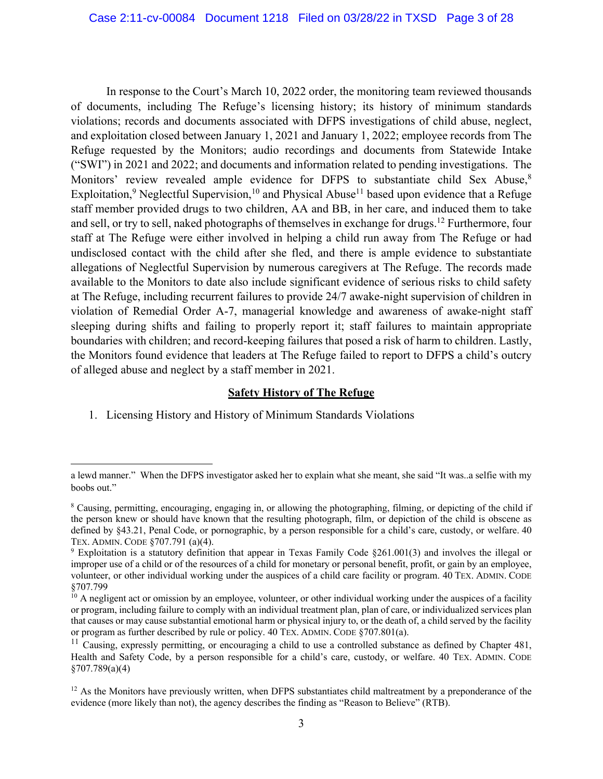In response to the Court's March 10, 2022 order, the monitoring team reviewed thousands of documents, including The Refuge's licensing history; its history of minimum standards violations; records and documents associated with DFPS investigations of child abuse, neglect, and exploitation closed between January 1, 2021 and January 1, 2022; employee records from The Refuge requested by the Monitors; audio recordings and documents from Statewide Intake ("SWI") in 2021 and 2022; and documents and information related to pending investigations. The Monitors' review revealed ample evidence for DFPS to substantiate child Sex Abuse,<sup>8</sup> Exploitation,<sup>9</sup> Neglectful Supervision,<sup>10</sup> and Physical Abuse<sup>11</sup> based upon evidence that a Refuge staff member provided drugs to two children, AA and BB, in her care, and induced them to take and sell, or try to sell, naked photographs of themselves in exchange for drugs.12 Furthermore, four staff at The Refuge were either involved in helping a child run away from The Refuge or had undisclosed contact with the child after she fled, and there is ample evidence to substantiate allegations of Neglectful Supervision by numerous caregivers at The Refuge. The records made available to the Monitors to date also include significant evidence of serious risks to child safety at The Refuge, including recurrent failures to provide 24/7 awake-night supervision of children in violation of Remedial Order A-7, managerial knowledge and awareness of awake-night staff sleeping during shifts and failing to properly report it; staff failures to maintain appropriate boundaries with children; and record-keeping failures that posed a risk of harm to children. Lastly, the Monitors found evidence that leaders at The Refuge failed to report to DFPS a child's outcry of alleged abuse and neglect by a staff member in 2021.

#### **Safety History of The Refuge**

1. Licensing History and History of Minimum Standards Violations

a lewd manner." When the DFPS investigator asked her to explain what she meant, she said "It was..a selfie with my boobs out."

<sup>8</sup> Causing, permitting, encouraging, engaging in, or allowing the photographing, filming, or depicting of the child if the person knew or should have known that the resulting photograph, film, or depiction of the child is obscene as defined by §43.21, Penal Code, or pornographic, by a person responsible for a child's care, custody, or welfare. 40 TEX. ADMIN. CODE §707.791 (a)(4).

<sup>9</sup> Exploitation is a statutory definition that appear in Texas Family Code §261.001(3) and involves the illegal or improper use of a child or of the resources of a child for monetary or personal benefit, profit, or gain by an employee, volunteer, or other individual working under the auspices of a child care facility or program. 40 TEX. ADMIN. CODE §707.799

 $10$  A negligent act or omission by an employee, volunteer, or other individual working under the auspices of a facility or program, including failure to comply with an individual treatment plan, plan of care, or individualized services plan that causes or may cause substantial emotional harm or physical injury to, or the death of, a child served by the facility or program as further described by rule or policy. 40 TEX. ADMIN. CODE §707.801(a).

 $11$  Causing, expressly permitting, or encouraging a child to use a controlled substance as defined by Chapter 481, Health and Safety Code, by a person responsible for a child's care, custody, or welfare. 40 TEX. ADMIN. CODE §707.789(a)(4)

 $12$  As the Monitors have previously written, when DFPS substantiates child maltreatment by a preponderance of the evidence (more likely than not), the agency describes the finding as "Reason to Believe" (RTB).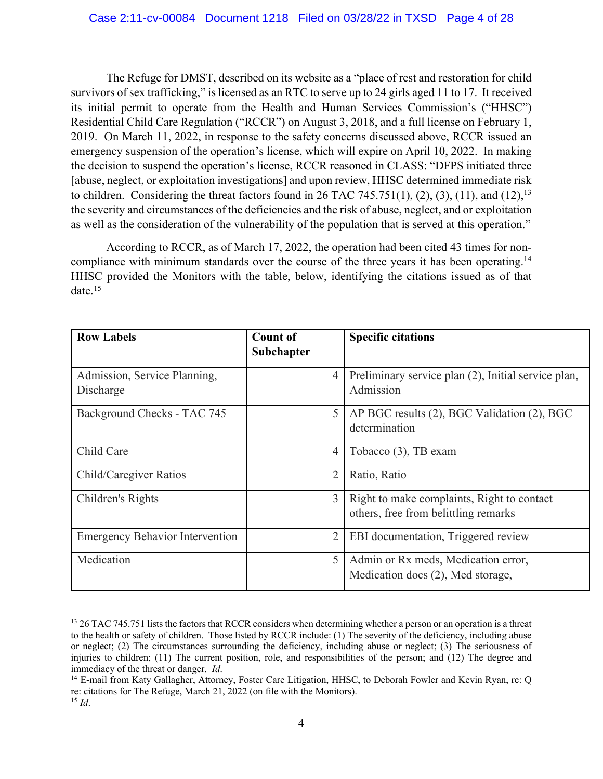The Refuge for DMST, described on its website as a "place of rest and restoration for child survivors of sex trafficking," is licensed as an RTC to serve up to 24 girls aged 11 to 17. It received its initial permit to operate from the Health and Human Services Commission's ("HHSC") Residential Child Care Regulation ("RCCR") on August 3, 2018, and a full license on February 1, 2019. On March 11, 2022, in response to the safety concerns discussed above, RCCR issued an emergency suspension of the operation's license, which will expire on April 10, 2022. In making the decision to suspend the operation's license, RCCR reasoned in CLASS: "DFPS initiated three [abuse, neglect, or exploitation investigations] and upon review, HHSC determined immediate risk to children. Considering the threat factors found in 26 TAC 745.751(1), (2), (3), (11), and (12),<sup>13</sup> the severity and circumstances of the deficiencies and the risk of abuse, neglect, and or exploitation as well as the consideration of the vulnerability of the population that is served at this operation."

According to RCCR, as of March 17, 2022, the operation had been cited 43 times for noncompliance with minimum standards over the course of the three years it has been operating.<sup>14</sup> HHSC provided the Monitors with the table, below, identifying the citations issued as of that date.15

| <b>Row Labels</b>                         | <b>Count of</b><br>Subchapter | <b>Specific citations</b>                                                          |
|-------------------------------------------|-------------------------------|------------------------------------------------------------------------------------|
| Admission, Service Planning,<br>Discharge | 4                             | Preliminary service plan (2), Initial service plan,<br>Admission                   |
| Background Checks - TAC 745               | 5                             | AP BGC results (2), BGC Validation (2), BGC<br>determination                       |
| Child Care                                | 4                             | Tobacco (3), TB exam                                                               |
| Child/Caregiver Ratios                    | $\overline{2}$                | Ratio, Ratio                                                                       |
| Children's Rights                         | 3                             | Right to make complaints, Right to contact<br>others, free from belittling remarks |
| <b>Emergency Behavior Intervention</b>    | 2                             | EBI documentation, Triggered review                                                |
| Medication                                | 5                             | Admin or Rx meds, Medication error,<br>Medication docs (2), Med storage,           |

<sup>&</sup>lt;sup>13</sup> 26 TAC 745.751 lists the factors that RCCR considers when determining whether a person or an operation is a threat to the health or safety of children. Those listed by RCCR include: (1) The severity of the deficiency, including abuse or neglect; (2) The circumstances surrounding the deficiency, including abuse or neglect; (3) The seriousness of injuries to children; (11) The current position, role, and responsibilities of the person; and (12) The degree and immediacy of the threat or danger. *Id*.

<sup>&</sup>lt;sup>14</sup> E-mail from Katy Gallagher, Attorney, Foster Care Litigation, HHSC, to Deborah Fowler and Kevin Ryan, re: O re: citations for The Refuge, March 21, 2022 (on file with the Monitors). <sup>15</sup> *Id*.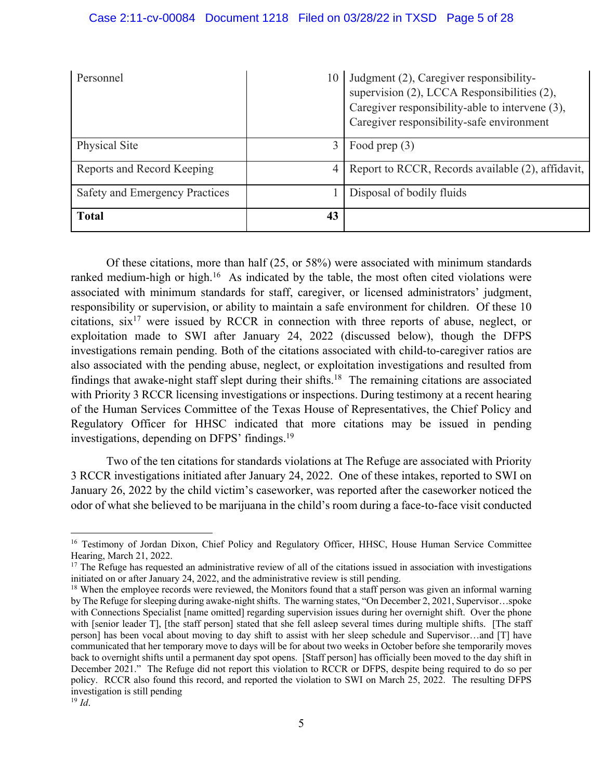| Personnel                      | 10             | Judgment (2), Caregiver responsibility-<br>supervision (2), LCCA Responsibilities (2),<br>Caregiver responsibility-able to intervene (3),<br>Caregiver responsibility-safe environment |
|--------------------------------|----------------|----------------------------------------------------------------------------------------------------------------------------------------------------------------------------------------|
| Physical Site                  | 3              | Food prep $(3)$                                                                                                                                                                        |
| Reports and Record Keeping     | $\overline{4}$ | Report to RCCR, Records available (2), affidavit,                                                                                                                                      |
| Safety and Emergency Practices |                | Disposal of bodily fluids                                                                                                                                                              |
| <b>Total</b>                   | 43             |                                                                                                                                                                                        |

Of these citations, more than half (25, or 58%) were associated with minimum standards ranked medium-high or high.<sup>16</sup> As indicated by the table, the most often cited violations were associated with minimum standards for staff, caregiver, or licensed administrators' judgment, responsibility or supervision, or ability to maintain a safe environment for children. Of these 10 citations,  $\sin^{17}$  were issued by RCCR in connection with three reports of abuse, neglect, or exploitation made to SWI after January 24, 2022 (discussed below), though the DFPS investigations remain pending. Both of the citations associated with child-to-caregiver ratios are also associated with the pending abuse, neglect, or exploitation investigations and resulted from findings that awake-night staff slept during their shifts.<sup>18</sup> The remaining citations are associated with Priority 3 RCCR licensing investigations or inspections. During testimony at a recent hearing of the Human Services Committee of the Texas House of Representatives, the Chief Policy and Regulatory Officer for HHSC indicated that more citations may be issued in pending investigations, depending on DFPS' findings.19

Two of the ten citations for standards violations at The Refuge are associated with Priority 3 RCCR investigations initiated after January 24, 2022. One of these intakes, reported to SWI on January 26, 2022 by the child victim's caseworker, was reported after the caseworker noticed the odor of what she believed to be marijuana in the child's room during a face-to-face visit conducted

<sup>&</sup>lt;sup>16</sup> Testimony of Jordan Dixon, Chief Policy and Regulatory Officer, HHSC, House Human Service Committee Hearing, March 21, 2022.

 $17$  The Refuge has requested an administrative review of all of the citations issued in association with investigations initiated on or after January 24, 2022, and the administrative review is still pending.

<sup>&</sup>lt;sup>18</sup> When the employee records were reviewed, the Monitors found that a staff person was given an informal warning by The Refuge for sleeping during awake-night shifts. The warning states, "On December 2, 2021, Supervisor…spoke with Connections Specialist [name omitted] regarding supervision issues during her overnight shift. Over the phone with [senior leader T], [the staff person] stated that she fell asleep several times during multiple shifts. [The staff person] has been vocal about moving to day shift to assist with her sleep schedule and Supervisor…and [T] have communicated that her temporary move to days will be for about two weeks in October before she temporarily moves back to overnight shifts until a permanent day spot opens. [Staff person] has officially been moved to the day shift in December 2021." The Refuge did not report this violation to RCCR or DFPS, despite being required to do so per policy. RCCR also found this record, and reported the violation to SWI on March 25, 2022. The resulting DFPS investigation is still pending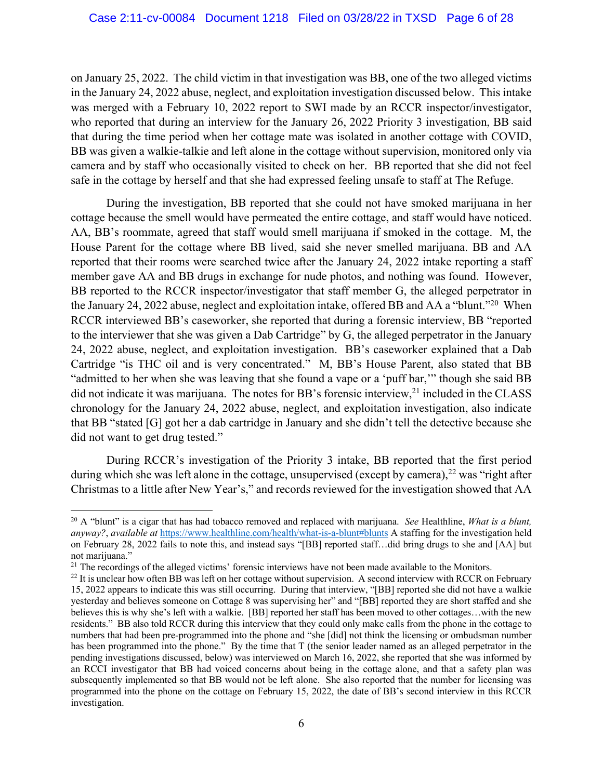on January 25, 2022. The child victim in that investigation was BB, one of the two alleged victims in the January 24, 2022 abuse, neglect, and exploitation investigation discussed below. This intake was merged with a February 10, 2022 report to SWI made by an RCCR inspector/investigator, who reported that during an interview for the January 26, 2022 Priority 3 investigation, BB said that during the time period when her cottage mate was isolated in another cottage with COVID, BB was given a walkie-talkie and left alone in the cottage without supervision, monitored only via camera and by staff who occasionally visited to check on her. BB reported that she did not feel safe in the cottage by herself and that she had expressed feeling unsafe to staff at The Refuge.

During the investigation, BB reported that she could not have smoked marijuana in her cottage because the smell would have permeated the entire cottage, and staff would have noticed. AA, BB's roommate, agreed that staff would smell marijuana if smoked in the cottage. M, the House Parent for the cottage where BB lived, said she never smelled marijuana. BB and AA reported that their rooms were searched twice after the January 24, 2022 intake reporting a staff member gave AA and BB drugs in exchange for nude photos, and nothing was found. However, BB reported to the RCCR inspector/investigator that staff member G, the alleged perpetrator in the January 24, 2022 abuse, neglect and exploitation intake, offered BB and AA a "blunt."20 When RCCR interviewed BB's caseworker, she reported that during a forensic interview, BB "reported to the interviewer that she was given a Dab Cartridge" by G, the alleged perpetrator in the January 24, 2022 abuse, neglect, and exploitation investigation. BB's caseworker explained that a Dab Cartridge "is THC oil and is very concentrated." M, BB's House Parent, also stated that BB "admitted to her when she was leaving that she found a vape or a 'puff bar,'" though she said BB did not indicate it was marijuana. The notes for BB's forensic interview,  $21$  included in the CLASS chronology for the January 24, 2022 abuse, neglect, and exploitation investigation, also indicate that BB "stated [G] got her a dab cartridge in January and she didn't tell the detective because she did not want to get drug tested."

During RCCR's investigation of the Priority 3 intake, BB reported that the first period during which she was left alone in the cottage, unsupervised (except by camera),<sup>22</sup> was "right after Christmas to a little after New Year's," and records reviewed for the investigation showed that AA

<sup>20</sup> A "blunt" is a cigar that has had tobacco removed and replaced with marijuana. *See* Healthline, *What is a blunt, anyway?*, *available at* https://www.healthline.com/health/what-is-a-blunt#blunts A staffing for the investigation held on February 28, 2022 fails to note this, and instead says "[BB] reported staff…did bring drugs to she and [AA] but not marijuana."

<sup>&</sup>lt;sup>21</sup> The recordings of the alleged victims' forensic interviews have not been made available to the Monitors.

 $^{22}$  It is unclear how often BB was left on her cottage without supervision. A second interview with RCCR on February 15, 2022 appears to indicate this was still occurring. During that interview, "[BB] reported she did not have a walkie yesterday and believes someone on Cottage 8 was supervising her" and "[BB] reported they are short staffed and she believes this is why she's left with a walkie. [BB] reported her staff has been moved to other cottages…with the new residents." BB also told RCCR during this interview that they could only make calls from the phone in the cottage to numbers that had been pre-programmed into the phone and "she [did] not think the licensing or ombudsman number has been programmed into the phone." By the time that T (the senior leader named as an alleged perpetrator in the pending investigations discussed, below) was interviewed on March 16, 2022, she reported that she was informed by an RCCI investigator that BB had voiced concerns about being in the cottage alone, and that a safety plan was subsequently implemented so that BB would not be left alone. She also reported that the number for licensing was programmed into the phone on the cottage on February 15, 2022, the date of BB's second interview in this RCCR investigation.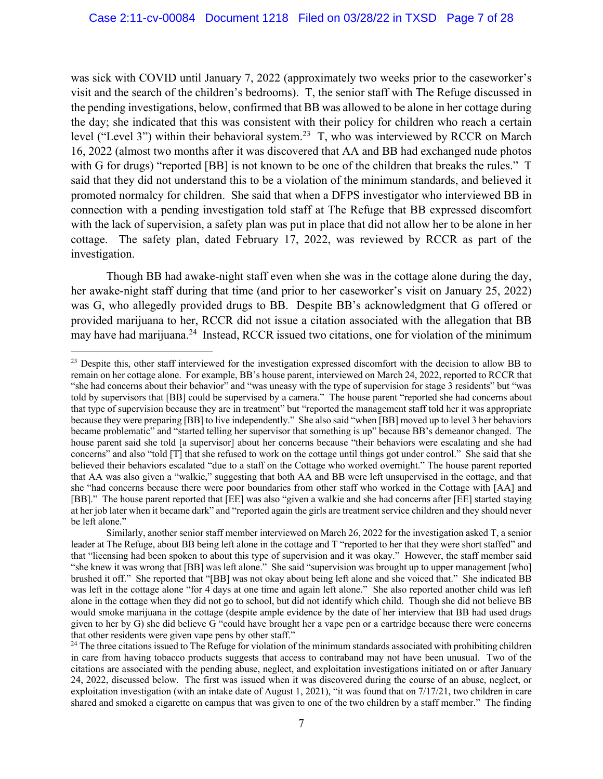was sick with COVID until January 7, 2022 (approximately two weeks prior to the caseworker's visit and the search of the children's bedrooms). T, the senior staff with The Refuge discussed in the pending investigations, below, confirmed that BB was allowed to be alone in her cottage during the day; she indicated that this was consistent with their policy for children who reach a certain level ("Level 3") within their behavioral system.23 T, who was interviewed by RCCR on March 16, 2022 (almost two months after it was discovered that AA and BB had exchanged nude photos with G for drugs) "reported [BB] is not known to be one of the children that breaks the rules." T said that they did not understand this to be a violation of the minimum standards, and believed it promoted normalcy for children. She said that when a DFPS investigator who interviewed BB in connection with a pending investigation told staff at The Refuge that BB expressed discomfort with the lack of supervision, a safety plan was put in place that did not allow her to be alone in her cottage. The safety plan, dated February 17, 2022, was reviewed by RCCR as part of the investigation.

Though BB had awake-night staff even when she was in the cottage alone during the day, her awake-night staff during that time (and prior to her caseworker's visit on January 25, 2022) was G, who allegedly provided drugs to BB. Despite BB's acknowledgment that G offered or provided marijuana to her, RCCR did not issue a citation associated with the allegation that BB may have had marijuana.<sup>24</sup> Instead, RCCR issued two citations, one for violation of the minimum

<sup>&</sup>lt;sup>23</sup> Despite this, other staff interviewed for the investigation expressed discomfort with the decision to allow BB to remain on her cottage alone. For example, BB's house parent, interviewed on March 24, 2022, reported to RCCR that "she had concerns about their behavior" and "was uneasy with the type of supervision for stage 3 residents" but "was told by supervisors that [BB] could be supervised by a camera." The house parent "reported she had concerns about that type of supervision because they are in treatment" but "reported the management staff told her it was appropriate because they were preparing [BB] to live independently." She also said "when [BB] moved up to level 3 her behaviors became problematic" and "started telling her supervisor that something is up" because BB's demeanor changed. The house parent said she told [a supervisor] about her concerns because "their behaviors were escalating and she had concerns" and also "told [T] that she refused to work on the cottage until things got under control." She said that she believed their behaviors escalated "due to a staff on the Cottage who worked overnight." The house parent reported that AA was also given a "walkie," suggesting that both AA and BB were left unsupervised in the cottage, and that she "had concerns because there were poor boundaries from other staff who worked in the Cottage with [AA] and [BB]." The house parent reported that [EE] was also "given a walkie and she had concerns after [EE] started staying at her job later when it became dark" and "reported again the girls are treatment service children and they should never be left alone."

Similarly, another senior staff member interviewed on March 26, 2022 for the investigation asked T, a senior leader at The Refuge, about BB being left alone in the cottage and T "reported to her that they were short staffed" and that "licensing had been spoken to about this type of supervision and it was okay." However, the staff member said "she knew it was wrong that [BB] was left alone." She said "supervision was brought up to upper management [who] brushed it off." She reported that "[BB] was not okay about being left alone and she voiced that." She indicated BB was left in the cottage alone "for 4 days at one time and again left alone." She also reported another child was left alone in the cottage when they did not go to school, but did not identify which child. Though she did not believe BB would smoke marijuana in the cottage (despite ample evidence by the date of her interview that BB had used drugs given to her by G) she did believe G "could have brought her a vape pen or a cartridge because there were concerns that other residents were given vape pens by other staff."

 $^{24}$  The three citations issued to The Refuge for violation of the minimum standards associated with prohibiting children in care from having tobacco products suggests that access to contraband may not have been unusual. Two of the citations are associated with the pending abuse, neglect, and exploitation investigations initiated on or after January 24, 2022, discussed below. The first was issued when it was discovered during the course of an abuse, neglect, or exploitation investigation (with an intake date of August 1, 2021), "it was found that on 7/17/21, two children in care shared and smoked a cigarette on campus that was given to one of the two children by a staff member." The finding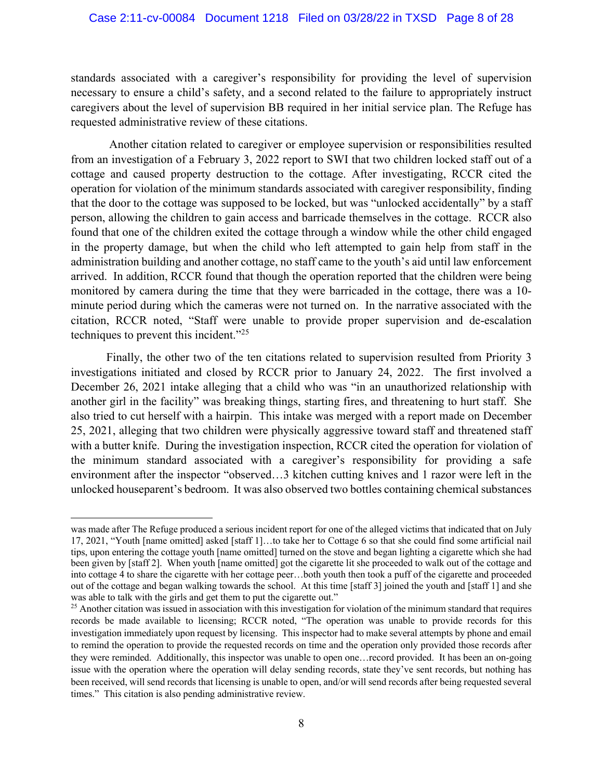standards associated with a caregiver's responsibility for providing the level of supervision necessary to ensure a child's safety, and a second related to the failure to appropriately instruct caregivers about the level of supervision BB required in her initial service plan. The Refuge has requested administrative review of these citations.

Another citation related to caregiver or employee supervision or responsibilities resulted from an investigation of a February 3, 2022 report to SWI that two children locked staff out of a cottage and caused property destruction to the cottage. After investigating, RCCR cited the operation for violation of the minimum standards associated with caregiver responsibility, finding that the door to the cottage was supposed to be locked, but was "unlocked accidentally" by a staff person, allowing the children to gain access and barricade themselves in the cottage. RCCR also found that one of the children exited the cottage through a window while the other child engaged in the property damage, but when the child who left attempted to gain help from staff in the administration building and another cottage, no staff came to the youth's aid until law enforcement arrived. In addition, RCCR found that though the operation reported that the children were being monitored by camera during the time that they were barricaded in the cottage, there was a 10 minute period during which the cameras were not turned on. In the narrative associated with the citation, RCCR noted, "Staff were unable to provide proper supervision and de-escalation techniques to prevent this incident."25

Finally, the other two of the ten citations related to supervision resulted from Priority 3 investigations initiated and closed by RCCR prior to January 24, 2022. The first involved a December 26, 2021 intake alleging that a child who was "in an unauthorized relationship with another girl in the facility" was breaking things, starting fires, and threatening to hurt staff. She also tried to cut herself with a hairpin. This intake was merged with a report made on December 25, 2021, alleging that two children were physically aggressive toward staff and threatened staff with a butter knife. During the investigation inspection, RCCR cited the operation for violation of the minimum standard associated with a caregiver's responsibility for providing a safe environment after the inspector "observed…3 kitchen cutting knives and 1 razor were left in the unlocked houseparent's bedroom. It was also observed two bottles containing chemical substances

was made after The Refuge produced a serious incident report for one of the alleged victims that indicated that on July 17, 2021, "Youth [name omitted] asked [staff 1]…to take her to Cottage 6 so that she could find some artificial nail tips, upon entering the cottage youth [name omitted] turned on the stove and began lighting a cigarette which she had been given by [staff 2]. When youth [name omitted] got the cigarette lit she proceeded to walk out of the cottage and into cottage 4 to share the cigarette with her cottage peer…both youth then took a puff of the cigarette and proceeded out of the cottage and began walking towards the school. At this time [staff 3] joined the youth and [staff 1] and she was able to talk with the girls and get them to put the cigarette out."

 $25$  Another citation was issued in association with this investigation for violation of the minimum standard that requires records be made available to licensing; RCCR noted, "The operation was unable to provide records for this investigation immediately upon request by licensing. This inspector had to make several attempts by phone and email to remind the operation to provide the requested records on time and the operation only provided those records after they were reminded. Additionally, this inspector was unable to open one…record provided. It has been an on-going issue with the operation where the operation will delay sending records, state they've sent records, but nothing has been received, will send records that licensing is unable to open, and/or will send records after being requested several times." This citation is also pending administrative review.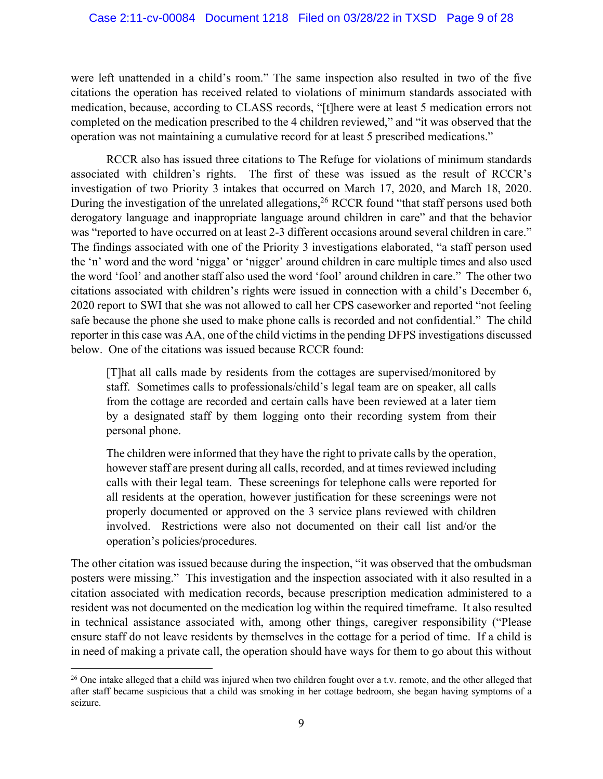were left unattended in a child's room." The same inspection also resulted in two of the five citations the operation has received related to violations of minimum standards associated with medication, because, according to CLASS records, "[t]here were at least 5 medication errors not completed on the medication prescribed to the 4 children reviewed," and "it was observed that the operation was not maintaining a cumulative record for at least 5 prescribed medications."

RCCR also has issued three citations to The Refuge for violations of minimum standards associated with children's rights. The first of these was issued as the result of RCCR's investigation of two Priority 3 intakes that occurred on March 17, 2020, and March 18, 2020. During the investigation of the unrelated allegations,<sup>26</sup> RCCR found "that staff persons used both derogatory language and inappropriate language around children in care" and that the behavior was "reported to have occurred on at least 2-3 different occasions around several children in care." The findings associated with one of the Priority 3 investigations elaborated, "a staff person used the 'n' word and the word 'nigga' or 'nigger' around children in care multiple times and also used the word 'fool' and another staff also used the word 'fool' around children in care." The other two citations associated with children's rights were issued in connection with a child's December 6, 2020 report to SWI that she was not allowed to call her CPS caseworker and reported "not feeling safe because the phone she used to make phone calls is recorded and not confidential." The child reporter in this case was AA, one of the child victims in the pending DFPS investigations discussed below. One of the citations was issued because RCCR found:

[T]hat all calls made by residents from the cottages are supervised/monitored by staff. Sometimes calls to professionals/child's legal team are on speaker, all calls from the cottage are recorded and certain calls have been reviewed at a later tiem by a designated staff by them logging onto their recording system from their personal phone.

The children were informed that they have the right to private calls by the operation, however staff are present during all calls, recorded, and at times reviewed including calls with their legal team. These screenings for telephone calls were reported for all residents at the operation, however justification for these screenings were not properly documented or approved on the 3 service plans reviewed with children involved. Restrictions were also not documented on their call list and/or the operation's policies/procedures.

The other citation was issued because during the inspection, "it was observed that the ombudsman posters were missing." This investigation and the inspection associated with it also resulted in a citation associated with medication records, because prescription medication administered to a resident was not documented on the medication log within the required timeframe. It also resulted in technical assistance associated with, among other things, caregiver responsibility ("Please ensure staff do not leave residents by themselves in the cottage for a period of time. If a child is in need of making a private call, the operation should have ways for them to go about this without

<sup>&</sup>lt;sup>26</sup> One intake alleged that a child was injured when two children fought over a t.v. remote, and the other alleged that after staff became suspicious that a child was smoking in her cottage bedroom, she began having symptoms of a seizure.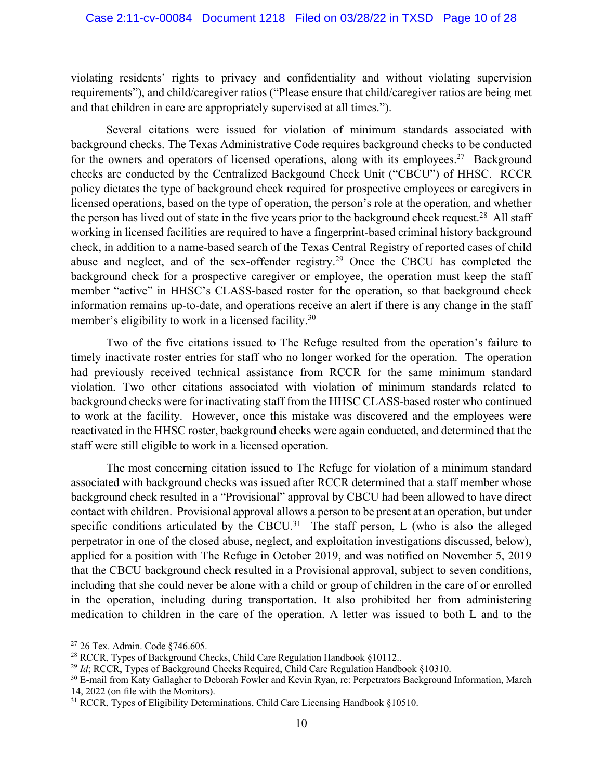violating residents' rights to privacy and confidentiality and without violating supervision requirements"), and child/caregiver ratios ("Please ensure that child/caregiver ratios are being met and that children in care are appropriately supervised at all times.").

Several citations were issued for violation of minimum standards associated with background checks. The Texas Administrative Code requires background checks to be conducted for the owners and operators of licensed operations, along with its employees.<sup>27</sup> Background checks are conducted by the Centralized Backgound Check Unit ("CBCU") of HHSC. RCCR policy dictates the type of background check required for prospective employees or caregivers in licensed operations, based on the type of operation, the person's role at the operation, and whether the person has lived out of state in the five years prior to the background check request.<sup>28</sup> All staff working in licensed facilities are required to have a fingerprint-based criminal history background check, in addition to a name-based search of the Texas Central Registry of reported cases of child abuse and neglect, and of the sex-offender registry.<sup>29</sup> Once the CBCU has completed the background check for a prospective caregiver or employee, the operation must keep the staff member "active" in HHSC's CLASS-based roster for the operation, so that background check information remains up-to-date, and operations receive an alert if there is any change in the staff member's eligibility to work in a licensed facility.<sup>30</sup>

Two of the five citations issued to The Refuge resulted from the operation's failure to timely inactivate roster entries for staff who no longer worked for the operation. The operation had previously received technical assistance from RCCR for the same minimum standard violation. Two other citations associated with violation of minimum standards related to background checks were for inactivating staff from the HHSC CLASS-based roster who continued to work at the facility. However, once this mistake was discovered and the employees were reactivated in the HHSC roster, background checks were again conducted, and determined that the staff were still eligible to work in a licensed operation.

The most concerning citation issued to The Refuge for violation of a minimum standard associated with background checks was issued after RCCR determined that a staff member whose background check resulted in a "Provisional" approval by CBCU had been allowed to have direct contact with children. Provisional approval allows a person to be present at an operation, but under specific conditions articulated by the CBCU.<sup>31</sup> The staff person, L (who is also the alleged perpetrator in one of the closed abuse, neglect, and exploitation investigations discussed, below), applied for a position with The Refuge in October 2019, and was notified on November 5, 2019 that the CBCU background check resulted in a Provisional approval, subject to seven conditions, including that she could never be alone with a child or group of children in the care of or enrolled in the operation, including during transportation. It also prohibited her from administering medication to children in the care of the operation. A letter was issued to both L and to the

<sup>27</sup> 26 Tex. Admin. Code §746.605.

<sup>&</sup>lt;sup>28</sup> RCCR, Types of Background Checks, Child Care Regulation Handbook §10112..

<sup>&</sup>lt;sup>29</sup> *Id*; RCCR, Types of Background Checks Required, Child Care Regulation Handbook §10310.

<sup>&</sup>lt;sup>30</sup> E-mail from Katy Gallagher to Deborah Fowler and Kevin Ryan, re: Perpetrators Background Information, March 14, 2022 (on file with the Monitors).

<sup>31</sup> RCCR, Types of Eligibility Determinations, Child Care Licensing Handbook §10510.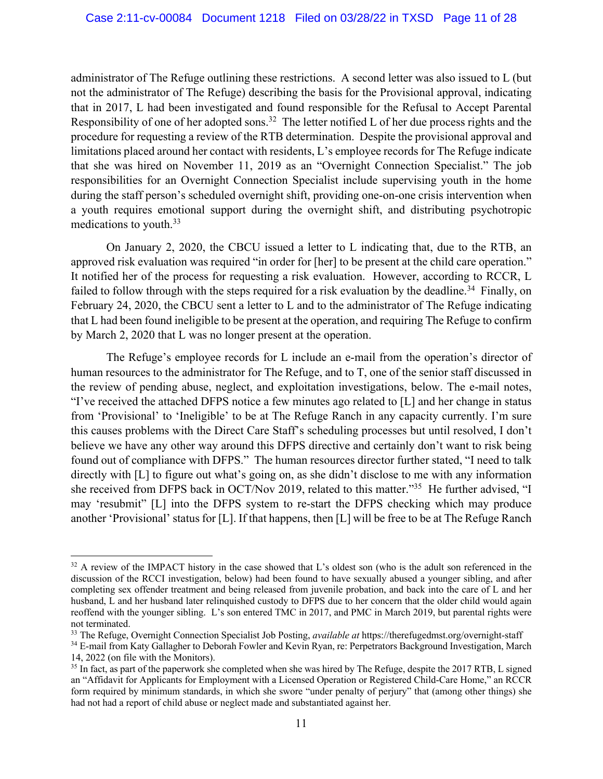administrator of The Refuge outlining these restrictions. A second letter was also issued to L (but not the administrator of The Refuge) describing the basis for the Provisional approval, indicating that in 2017, L had been investigated and found responsible for the Refusal to Accept Parental Responsibility of one of her adopted sons.<sup>32</sup> The letter notified L of her due process rights and the procedure for requesting a review of the RTB determination. Despite the provisional approval and limitations placed around her contact with residents, L's employee records for The Refuge indicate that she was hired on November 11, 2019 as an "Overnight Connection Specialist." The job responsibilities for an Overnight Connection Specialist include supervising youth in the home during the staff person's scheduled overnight shift, providing one-on-one crisis intervention when a youth requires emotional support during the overnight shift, and distributing psychotropic medications to youth.33

On January 2, 2020, the CBCU issued a letter to L indicating that, due to the RTB, an approved risk evaluation was required "in order for [her] to be present at the child care operation." It notified her of the process for requesting a risk evaluation. However, according to RCCR, L failed to follow through with the steps required for a risk evaluation by the deadline.<sup>34</sup> Finally, on February 24, 2020, the CBCU sent a letter to L and to the administrator of The Refuge indicating that L had been found ineligible to be present at the operation, and requiring The Refuge to confirm by March 2, 2020 that L was no longer present at the operation.

The Refuge's employee records for L include an e-mail from the operation's director of human resources to the administrator for The Refuge, and to T, one of the senior staff discussed in the review of pending abuse, neglect, and exploitation investigations, below. The e-mail notes, "I've received the attached DFPS notice a few minutes ago related to [L] and her change in status from 'Provisional' to 'Ineligible' to be at The Refuge Ranch in any capacity currently. I'm sure this causes problems with the Direct Care Staff's scheduling processes but until resolved, I don't believe we have any other way around this DFPS directive and certainly don't want to risk being found out of compliance with DFPS." The human resources director further stated, "I need to talk directly with [L] to figure out what's going on, as she didn't disclose to me with any information she received from DFPS back in OCT/Nov 2019, related to this matter."35 He further advised, "I may 'resubmit" [L] into the DFPS system to re-start the DFPS checking which may produce another 'Provisional' status for [L]. If that happens, then [L] will be free to be at The Refuge Ranch

<sup>&</sup>lt;sup>32</sup> A review of the IMPACT history in the case showed that L's oldest son (who is the adult son referenced in the discussion of the RCCI investigation, below) had been found to have sexually abused a younger sibling, and after completing sex offender treatment and being released from juvenile probation, and back into the care of L and her husband, L and her husband later relinquished custody to DFPS due to her concern that the older child would again reoffend with the younger sibling. L's son entered TMC in 2017, and PMC in March 2019, but parental rights were not terminated.

<sup>33</sup> The Refuge, Overnight Connection Specialist Job Posting, *available at* https://therefugedmst.org/overnight-staff

<sup>&</sup>lt;sup>34</sup> E-mail from Katy Gallagher to Deborah Fowler and Kevin Ryan, re: Perpetrators Background Investigation, March 14, 2022 (on file with the Monitors).

<sup>&</sup>lt;sup>35</sup> In fact, as part of the paperwork she completed when she was hired by The Refuge, despite the 2017 RTB, L signed an "Affidavit for Applicants for Employment with a Licensed Operation or Registered Child-Care Home," an RCCR form required by minimum standards, in which she swore "under penalty of perjury" that (among other things) she had not had a report of child abuse or neglect made and substantiated against her.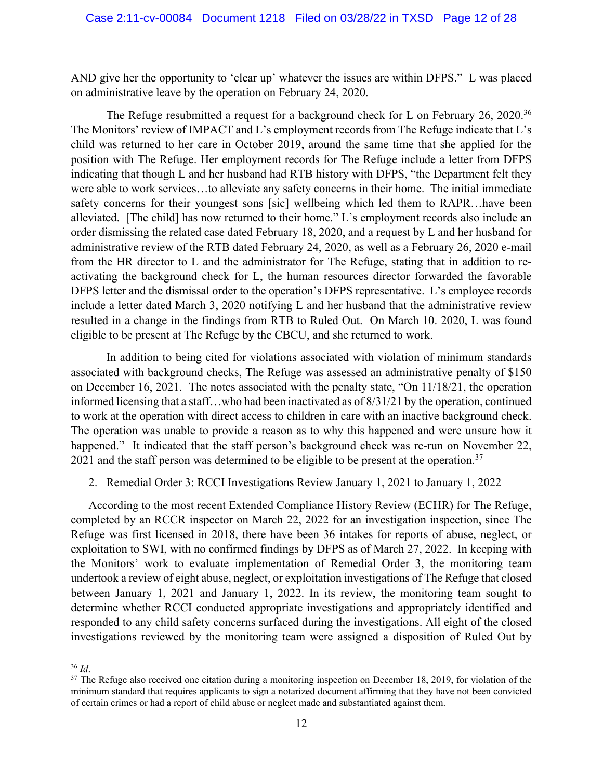AND give her the opportunity to 'clear up' whatever the issues are within DFPS." L was placed on administrative leave by the operation on February 24, 2020.

The Refuge resubmitted a request for a background check for L on February 26, 2020.<sup>36</sup> The Monitors' review of IMPACT and L's employment records from The Refuge indicate that L's child was returned to her care in October 2019, around the same time that she applied for the position with The Refuge. Her employment records for The Refuge include a letter from DFPS indicating that though L and her husband had RTB history with DFPS, "the Department felt they were able to work services…to alleviate any safety concerns in their home. The initial immediate safety concerns for their youngest sons [sic] wellbeing which led them to RAPR…have been alleviated. [The child] has now returned to their home." L's employment records also include an order dismissing the related case dated February 18, 2020, and a request by L and her husband for administrative review of the RTB dated February 24, 2020, as well as a February 26, 2020 e-mail from the HR director to L and the administrator for The Refuge, stating that in addition to reactivating the background check for L, the human resources director forwarded the favorable DFPS letter and the dismissal order to the operation's DFPS representative. L's employee records include a letter dated March 3, 2020 notifying L and her husband that the administrative review resulted in a change in the findings from RTB to Ruled Out. On March 10. 2020, L was found eligible to be present at The Refuge by the CBCU, and she returned to work.

In addition to being cited for violations associated with violation of minimum standards associated with background checks, The Refuge was assessed an administrative penalty of \$150 on December 16, 2021. The notes associated with the penalty state, "On 11/18/21, the operation informed licensing that a staff…who had been inactivated as of 8/31/21 by the operation, continued to work at the operation with direct access to children in care with an inactive background check. The operation was unable to provide a reason as to why this happened and were unsure how it happened." It indicated that the staff person's background check was re-run on November 22, 2021 and the staff person was determined to be eligible to be present at the operation.<sup>37</sup>

2. Remedial Order 3: RCCI Investigations Review January 1, 2021 to January 1, 2022

According to the most recent Extended Compliance History Review (ECHR) for The Refuge, completed by an RCCR inspector on March 22, 2022 for an investigation inspection, since The Refuge was first licensed in 2018, there have been 36 intakes for reports of abuse, neglect, or exploitation to SWI, with no confirmed findings by DFPS as of March 27, 2022. In keeping with the Monitors' work to evaluate implementation of Remedial Order 3, the monitoring team undertook a review of eight abuse, neglect, or exploitation investigations of The Refuge that closed between January 1, 2021 and January 1, 2022. In its review, the monitoring team sought to determine whether RCCI conducted appropriate investigations and appropriately identified and responded to any child safety concerns surfaced during the investigations. All eight of the closed investigations reviewed by the monitoring team were assigned a disposition of Ruled Out by

<sup>&</sup>lt;sup>36</sup> *Id*.<br><sup>37</sup> The Refuge also received one citation during a monitoring inspection on December 18, 2019, for violation of the minimum standard that requires applicants to sign a notarized document affirming that they have not been convicted of certain crimes or had a report of child abuse or neglect made and substantiated against them.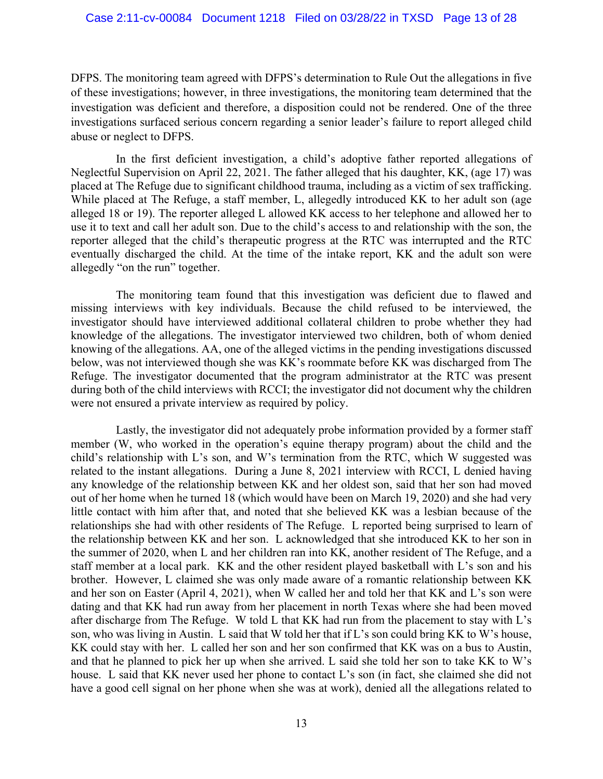DFPS. The monitoring team agreed with DFPS's determination to Rule Out the allegations in five of these investigations; however, in three investigations, the monitoring team determined that the investigation was deficient and therefore, a disposition could not be rendered. One of the three investigations surfaced serious concern regarding a senior leader's failure to report alleged child abuse or neglect to DFPS.

In the first deficient investigation, a child's adoptive father reported allegations of Neglectful Supervision on April 22, 2021. The father alleged that his daughter, KK, (age 17) was placed at The Refuge due to significant childhood trauma, including as a victim of sex trafficking. While placed at The Refuge, a staff member, L, allegedly introduced KK to her adult son (age alleged 18 or 19). The reporter alleged L allowed KK access to her telephone and allowed her to use it to text and call her adult son. Due to the child's access to and relationship with the son, the reporter alleged that the child's therapeutic progress at the RTC was interrupted and the RTC eventually discharged the child. At the time of the intake report, KK and the adult son were allegedly "on the run" together.

The monitoring team found that this investigation was deficient due to flawed and missing interviews with key individuals. Because the child refused to be interviewed, the investigator should have interviewed additional collateral children to probe whether they had knowledge of the allegations. The investigator interviewed two children, both of whom denied knowing of the allegations. AA, one of the alleged victims in the pending investigations discussed below, was not interviewed though she was KK's roommate before KK was discharged from The Refuge. The investigator documented that the program administrator at the RTC was present during both of the child interviews with RCCI; the investigator did not document why the children were not ensured a private interview as required by policy.

Lastly, the investigator did not adequately probe information provided by a former staff member (W, who worked in the operation's equine therapy program) about the child and the child's relationship with L's son, and W's termination from the RTC, which W suggested was related to the instant allegations. During a June 8, 2021 interview with RCCI, L denied having any knowledge of the relationship between KK and her oldest son, said that her son had moved out of her home when he turned 18 (which would have been on March 19, 2020) and she had very little contact with him after that, and noted that she believed KK was a lesbian because of the relationships she had with other residents of The Refuge. L reported being surprised to learn of the relationship between KK and her son. L acknowledged that she introduced KK to her son in the summer of 2020, when L and her children ran into KK, another resident of The Refuge, and a staff member at a local park. KK and the other resident played basketball with L's son and his brother. However, L claimed she was only made aware of a romantic relationship between KK and her son on Easter (April 4, 2021), when W called her and told her that KK and L's son were dating and that KK had run away from her placement in north Texas where she had been moved after discharge from The Refuge. W told L that KK had run from the placement to stay with L's son, who was living in Austin. L said that W told her that if L's son could bring KK to W's house, KK could stay with her. L called her son and her son confirmed that KK was on a bus to Austin, and that he planned to pick her up when she arrived. L said she told her son to take KK to W's house. L said that KK never used her phone to contact L's son (in fact, she claimed she did not have a good cell signal on her phone when she was at work), denied all the allegations related to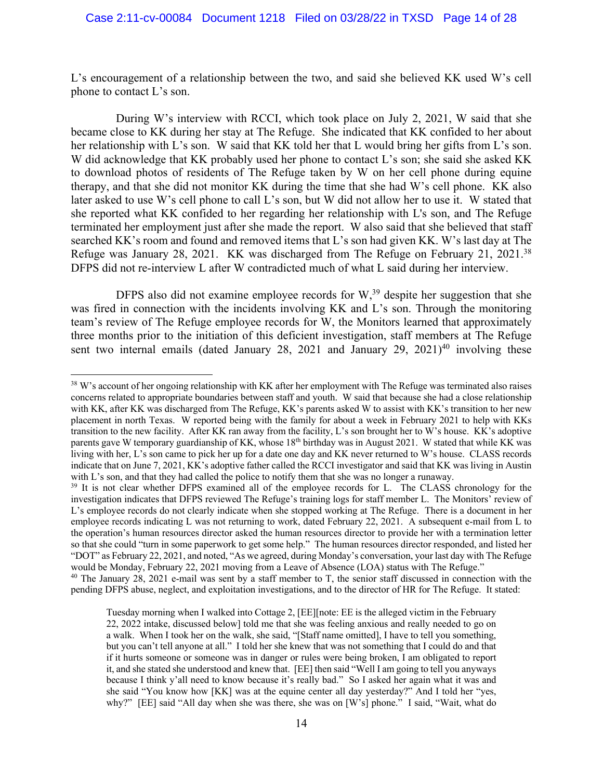L's encouragement of a relationship between the two, and said she believed KK used W's cell phone to contact L's son.

During W's interview with RCCI, which took place on July 2, 2021, W said that she became close to KK during her stay at The Refuge. She indicated that KK confided to her about her relationship with L's son. W said that KK told her that L would bring her gifts from L's son. W did acknowledge that KK probably used her phone to contact L's son; she said she asked KK to download photos of residents of The Refuge taken by W on her cell phone during equine therapy, and that she did not monitor KK during the time that she had W's cell phone. KK also later asked to use W's cell phone to call L's son, but W did not allow her to use it. W stated that she reported what KK confided to her regarding her relationship with L's son, and The Refuge terminated her employment just after she made the report. W also said that she believed that staff searched KK's room and found and removed items that L's son had given KK. W's last day at The Refuge was January 28, 2021. KK was discharged from The Refuge on February 21, 2021.<sup>38</sup> DFPS did not re-interview L after W contradicted much of what L said during her interview.

DFPS also did not examine employee records for  $W<sub>1</sub><sup>39</sup>$  despite her suggestion that she was fired in connection with the incidents involving KK and L's son. Through the monitoring team's review of The Refuge employee records for W, the Monitors learned that approximately three months prior to the initiation of this deficient investigation, staff members at The Refuge sent two internal emails (dated January 28, 2021 and January 29, 2021)<sup>40</sup> involving these

<sup>&</sup>lt;sup>38</sup> W's account of her ongoing relationship with KK after her employment with The Refuge was terminated also raises concerns related to appropriate boundaries between staff and youth. W said that because she had a close relationship with KK, after KK was discharged from The Refuge, KK's parents asked W to assist with KK's transition to her new placement in north Texas. W reported being with the family for about a week in February 2021 to help with KKs transition to the new facility. After KK ran away from the facility, L's son brought her to W's house. KK's adoptive parents gave W temporary guardianship of KK, whose 18<sup>th</sup> birthday was in August 2021. W stated that while KK was living with her, L's son came to pick her up for a date one day and KK never returned to W's house. CLASS records indicate that on June 7, 2021, KK's adoptive father called the RCCI investigator and said that KK was living in Austin with L's son, and that they had called the police to notify them that she was no longer a runaway.

<sup>&</sup>lt;sup>39</sup> It is not clear whether DFPS examined all of the employee records for L. The CLASS chronology for the investigation indicates that DFPS reviewed The Refuge's training logs for staff member L. The Monitors' review of L's employee records do not clearly indicate when she stopped working at The Refuge. There is a document in her employee records indicating L was not returning to work, dated February 22, 2021. A subsequent e-mail from L to the operation's human resources director asked the human resources director to provide her with a termination letter so that she could "turn in some paperwork to get some help." The human resources director responded, and listed her "DOT" as February 22, 2021, and noted, "As we agreed, during Monday's conversation, your last day with The Refuge would be Monday, February 22, 2021 moving from a Leave of Absence (LOA) status with The Refuge."

<sup>&</sup>lt;sup>40</sup> The January 28, 2021 e-mail was sent by a staff member to T, the senior staff discussed in connection with the pending DFPS abuse, neglect, and exploitation investigations, and to the director of HR for The Refuge. It stated:

Tuesday morning when I walked into Cottage 2, [EE][note: EE is the alleged victim in the February 22, 2022 intake, discussed below] told me that she was feeling anxious and really needed to go on a walk. When I took her on the walk, she said, "[Staff name omitted], I have to tell you something, but you can't tell anyone at all." I told her she knew that was not something that I could do and that if it hurts someone or someone was in danger or rules were being broken, I am obligated to report it, and she stated she understood and knew that. [EE] then said "Well I am going to tell you anyways because I think y'all need to know because it's really bad." So I asked her again what it was and she said "You know how [KK] was at the equine center all day yesterday?" And I told her "yes, why?" [EE] said "All day when she was there, she was on [W's] phone." I said, "Wait, what do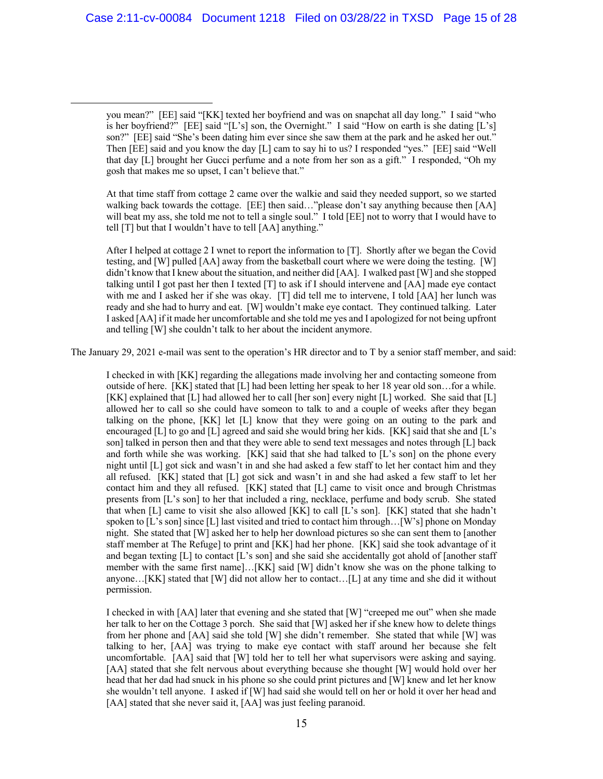At that time staff from cottage 2 came over the walkie and said they needed support, so we started walking back towards the cottage. [EE] then said…"please don't say anything because then [AA] will beat my ass, she told me not to tell a single soul." I told [EE] not to worry that I would have to tell [T] but that I wouldn't have to tell [AA] anything."

After I helped at cottage 2 I wnet to report the information to [T]. Shortly after we began the Covid testing, and [W] pulled [AA] away from the basketball court where we were doing the testing. [W] didn't know that I knew about the situation, and neither did [AA]. I walked past [W] and she stopped talking until I got past her then I texted [T] to ask if I should intervene and [AA] made eye contact with me and I asked her if she was okay. [T] did tell me to intervene, I told [AA] her lunch was ready and she had to hurry and eat. [W] wouldn't make eye contact. They continued talking. Later I asked [AA] if it made her uncomfortable and she told me yes and I apologized for not being upfront and telling [W] she couldn't talk to her about the incident anymore.

The January 29, 2021 e-mail was sent to the operation's HR director and to T by a senior staff member, and said:

I checked in with [KK] regarding the allegations made involving her and contacting someone from outside of here. [KK] stated that [L] had been letting her speak to her 18 year old son…for a while. [KK] explained that [L] had allowed her to call [her son] every night [L] worked. She said that [L] allowed her to call so she could have someon to talk to and a couple of weeks after they began talking on the phone, [KK] let [L] know that they were going on an outing to the park and encouraged  $[L]$  to go and  $[L]$  agreed and said she would bring her kids.  $[KK]$  said that she and  $[L]$ 's son] talked in person then and that they were able to send text messages and notes through [L] back and forth while she was working. [KK] said that she had talked to [L's son] on the phone every night until [L] got sick and wasn't in and she had asked a few staff to let her contact him and they all refused. [KK] stated that [L] got sick and wasn't in and she had asked a few staff to let her contact him and they all refused. [KK] stated that [L] came to visit once and brough Christmas presents from [L's son] to her that included a ring, necklace, perfume and body scrub. She stated that when [L] came to visit she also allowed [KK] to call [L's son]. [KK] stated that she hadn't spoken to [L's son] since [L] last visited and tried to contact him through... [W's] phone on Monday night. She stated that [W] asked her to help her download pictures so she can sent them to [another staff member at The Refuge] to print and [KK] had her phone. [KK] said she took advantage of it and began texting [L] to contact [L's son] and she said she accidentally got ahold of [another staff member with the same first name]…[KK] said [W] didn't know she was on the phone talking to anyone…[KK] stated that [W] did not allow her to contact…[L] at any time and she did it without permission.

I checked in with [AA] later that evening and she stated that [W] "creeped me out" when she made her talk to her on the Cottage 3 porch. She said that [W] asked her if she knew how to delete things from her phone and [AA] said she told [W] she didn't remember. She stated that while [W] was talking to her, [AA] was trying to make eye contact with staff around her because she felt uncomfortable. [AA] said that [W] told her to tell her what supervisors were asking and saying. [AA] stated that she felt nervous about everything because she thought [W] would hold over her head that her dad had snuck in his phone so she could print pictures and [W] knew and let her know she wouldn't tell anyone. I asked if [W] had said she would tell on her or hold it over her head and [AA] stated that she never said it, [AA] was just feeling paranoid.

you mean?" [EE] said "[KK] texted her boyfriend and was on snapchat all day long." I said "who is her boyfriend?" [EE] said "[L's] son, the Overnight." I said "How on earth is she dating  $[L's]$ son?" [EE] said "She's been dating him ever since she saw them at the park and he asked her out." Then [EE] said and you know the day [L] cam to say hi to us? I responded "yes." [EE] said "Well that day [L] brought her Gucci perfume and a note from her son as a gift." I responded, "Oh my gosh that makes me so upset, I can't believe that."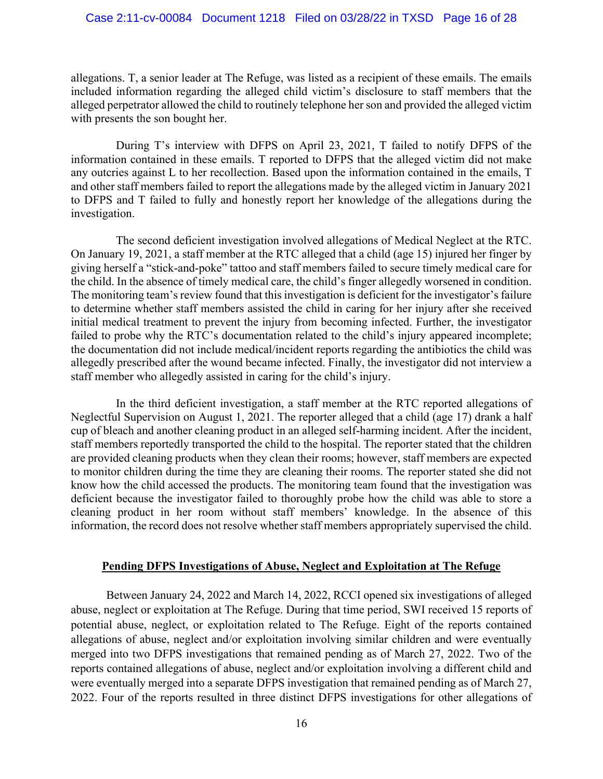#### Case 2:11-cv-00084 Document 1218 Filed on 03/28/22 in TXSD Page 16 of 28

allegations. T, a senior leader at The Refuge, was listed as a recipient of these emails. The emails included information regarding the alleged child victim's disclosure to staff members that the alleged perpetrator allowed the child to routinely telephone her son and provided the alleged victim with presents the son bought her.

During T's interview with DFPS on April 23, 2021, T failed to notify DFPS of the information contained in these emails. T reported to DFPS that the alleged victim did not make any outcries against L to her recollection. Based upon the information contained in the emails, T and other staff members failed to report the allegations made by the alleged victim in January 2021 to DFPS and T failed to fully and honestly report her knowledge of the allegations during the investigation.

The second deficient investigation involved allegations of Medical Neglect at the RTC. On January 19, 2021, a staff member at the RTC alleged that a child (age 15) injured her finger by giving herself a "stick-and-poke" tattoo and staff members failed to secure timely medical care for the child. In the absence of timely medical care, the child's finger allegedly worsened in condition. The monitoring team's review found that this investigation is deficient for the investigator's failure to determine whether staff members assisted the child in caring for her injury after she received initial medical treatment to prevent the injury from becoming infected. Further, the investigator failed to probe why the RTC's documentation related to the child's injury appeared incomplete; the documentation did not include medical/incident reports regarding the antibiotics the child was allegedly prescribed after the wound became infected. Finally, the investigator did not interview a staff member who allegedly assisted in caring for the child's injury.

In the third deficient investigation, a staff member at the RTC reported allegations of Neglectful Supervision on August 1, 2021. The reporter alleged that a child (age 17) drank a half cup of bleach and another cleaning product in an alleged self-harming incident. After the incident, staff members reportedly transported the child to the hospital. The reporter stated that the children are provided cleaning products when they clean their rooms; however, staff members are expected to monitor children during the time they are cleaning their rooms. The reporter stated she did not know how the child accessed the products. The monitoring team found that the investigation was deficient because the investigator failed to thoroughly probe how the child was able to store a cleaning product in her room without staff members' knowledge. In the absence of this information, the record does not resolve whether staff members appropriately supervised the child.

# **Pending DFPS Investigations of Abuse, Neglect and Exploitation at The Refuge**

Between January 24, 2022 and March 14, 2022, RCCI opened six investigations of alleged abuse, neglect or exploitation at The Refuge. During that time period, SWI received 15 reports of potential abuse, neglect, or exploitation related to The Refuge. Eight of the reports contained allegations of abuse, neglect and/or exploitation involving similar children and were eventually merged into two DFPS investigations that remained pending as of March 27, 2022. Two of the reports contained allegations of abuse, neglect and/or exploitation involving a different child and were eventually merged into a separate DFPS investigation that remained pending as of March 27, 2022. Four of the reports resulted in three distinct DFPS investigations for other allegations of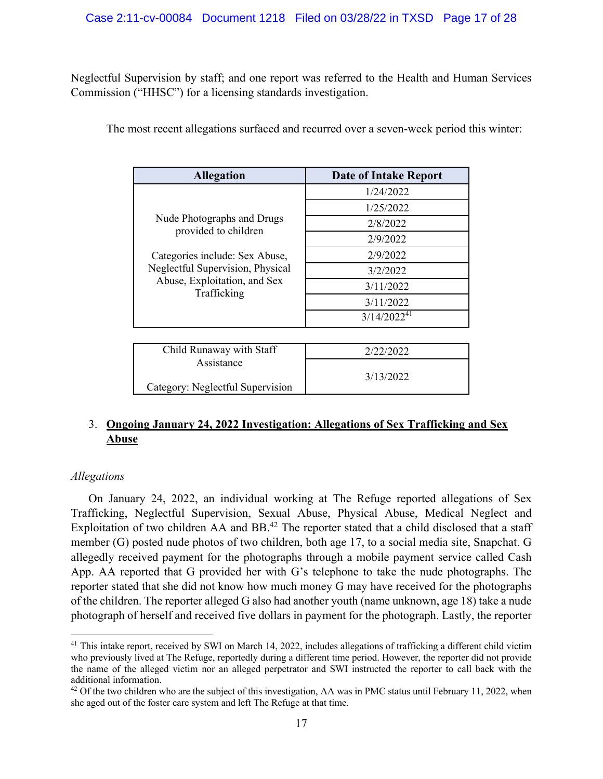Neglectful Supervision by staff; and one report was referred to the Health and Human Services Commission ("HHSC") for a licensing standards investigation.

The most recent allegations surfaced and recurred over a seven-week period this winter:

| <b>Allegation</b>                                                                                                 | <b>Date of Intake Report</b> |
|-------------------------------------------------------------------------------------------------------------------|------------------------------|
| Nude Photographs and Drugs<br>provided to children                                                                | 1/24/2022                    |
|                                                                                                                   | 1/25/2022                    |
|                                                                                                                   | 2/8/2022                     |
|                                                                                                                   | 2/9/2022                     |
| Categories include: Sex Abuse,<br>Neglectful Supervision, Physical<br>Abuse, Exploitation, and Sex<br>Trafficking | 2/9/2022                     |
|                                                                                                                   | 3/2/2022                     |
|                                                                                                                   | 3/11/2022                    |
|                                                                                                                   | 3/11/2022                    |
|                                                                                                                   | $3/14/2022^{41}$             |
|                                                                                                                   |                              |
| Child Runaway with Staff                                                                                          | 2/22/2022                    |
| Assistance<br>Category: Neglectful Supervision                                                                    | 3/13/2022                    |

# 3. **Ongoing January 24, 2022 Investigation: Allegations of Sex Trafficking and Sex Abuse**

# *Allegations*

On January 24, 2022, an individual working at The Refuge reported allegations of Sex Trafficking, Neglectful Supervision, Sexual Abuse, Physical Abuse, Medical Neglect and Exploitation of two children AA and BB.<sup>42</sup> The reporter stated that a child disclosed that a staff member (G) posted nude photos of two children, both age 17, to a social media site, Snapchat. G allegedly received payment for the photographs through a mobile payment service called Cash App. AA reported that G provided her with G's telephone to take the nude photographs. The reporter stated that she did not know how much money G may have received for the photographs of the children. The reporter alleged G also had another youth (name unknown, age 18) take a nude photograph of herself and received five dollars in payment for the photograph. Lastly, the reporter

 $41$  This intake report, received by SWI on March 14, 2022, includes allegations of trafficking a different child victim who previously lived at The Refuge, reportedly during a different time period. However, the reporter did not provide the name of the alleged victim nor an alleged perpetrator and SWI instructed the reporter to call back with the additional information.

<sup>&</sup>lt;sup>42</sup> Of the two children who are the subject of this investigation, AA was in PMC status until February 11, 2022, when she aged out of the foster care system and left The Refuge at that time.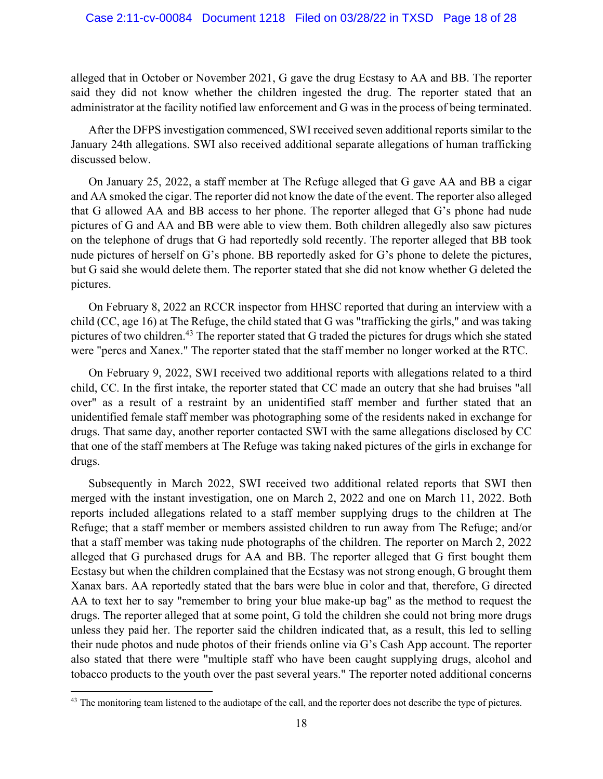alleged that in October or November 2021, G gave the drug Ecstasy to AA and BB. The reporter said they did not know whether the children ingested the drug. The reporter stated that an administrator at the facility notified law enforcement and G was in the process of being terminated.

After the DFPS investigation commenced, SWI received seven additional reports similar to the January 24th allegations. SWI also received additional separate allegations of human trafficking discussed below.

On January 25, 2022, a staff member at The Refuge alleged that G gave AA and BB a cigar and AA smoked the cigar. The reporter did not know the date of the event. The reporter also alleged that G allowed AA and BB access to her phone. The reporter alleged that G's phone had nude pictures of G and AA and BB were able to view them. Both children allegedly also saw pictures on the telephone of drugs that G had reportedly sold recently. The reporter alleged that BB took nude pictures of herself on G's phone. BB reportedly asked for G's phone to delete the pictures, but G said she would delete them. The reporter stated that she did not know whether G deleted the pictures.

On February 8, 2022 an RCCR inspector from HHSC reported that during an interview with a child (CC, age 16) at The Refuge, the child stated that G was "trafficking the girls," and was taking pictures of two children.<sup>43</sup> The reporter stated that G traded the pictures for drugs which she stated were "percs and Xanex." The reporter stated that the staff member no longer worked at the RTC.

On February 9, 2022, SWI received two additional reports with allegations related to a third child, CC. In the first intake, the reporter stated that CC made an outcry that she had bruises "all over" as a result of a restraint by an unidentified staff member and further stated that an unidentified female staff member was photographing some of the residents naked in exchange for drugs. That same day, another reporter contacted SWI with the same allegations disclosed by CC that one of the staff members at The Refuge was taking naked pictures of the girls in exchange for drugs.

Subsequently in March 2022, SWI received two additional related reports that SWI then merged with the instant investigation, one on March 2, 2022 and one on March 11, 2022. Both reports included allegations related to a staff member supplying drugs to the children at The Refuge; that a staff member or members assisted children to run away from The Refuge; and/or that a staff member was taking nude photographs of the children. The reporter on March 2, 2022 alleged that G purchased drugs for AA and BB. The reporter alleged that G first bought them Ecstasy but when the children complained that the Ecstasy was not strong enough, G brought them Xanax bars. AA reportedly stated that the bars were blue in color and that, therefore, G directed AA to text her to say "remember to bring your blue make-up bag" as the method to request the drugs. The reporter alleged that at some point, G told the children she could not bring more drugs unless they paid her. The reporter said the children indicated that, as a result, this led to selling their nude photos and nude photos of their friends online via G's Cash App account. The reporter also stated that there were "multiple staff who have been caught supplying drugs, alcohol and tobacco products to the youth over the past several years." The reporter noted additional concerns

<sup>&</sup>lt;sup>43</sup> The monitoring team listened to the audiotape of the call, and the reporter does not describe the type of pictures.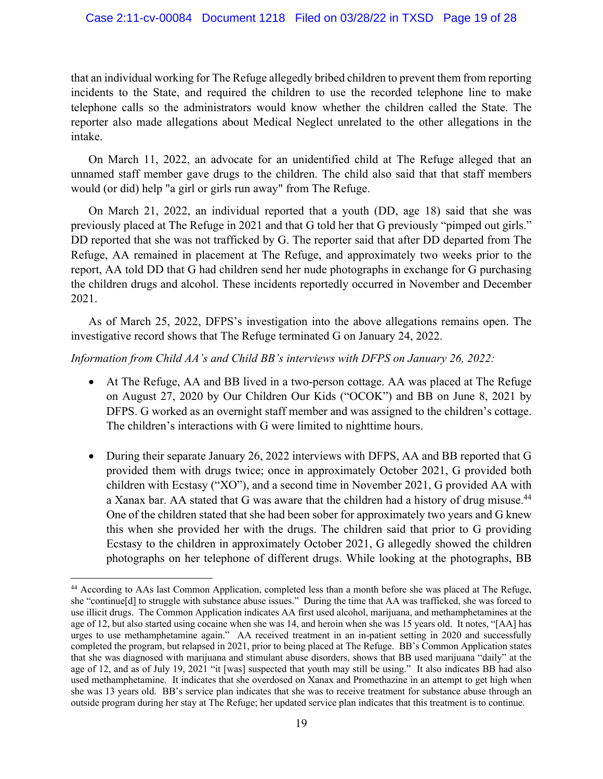that an individual working for The Refuge allegedly bribed children to prevent them from reporting incidents to the State, and required the children to use the recorded telephone line to make telephone calls so the administrators would know whether the children called the State. The reporter also made allegations about Medical Neglect unrelated to the other allegations in the intake.

On March 11, 2022, an advocate for an unidentified child at The Refuge alleged that an unnamed staff member gave drugs to the children. The child also said that that staff members would (or did) help "a girl or girls run away" from The Refuge.

On March 21, 2022, an individual reported that a youth (DD, age 18) said that she was previously placed at The Refuge in 2021 and that G told her that G previously "pimped out girls." DD reported that she was not trafficked by G. The reporter said that after DD departed from The Refuge, AA remained in placement at The Refuge, and approximately two weeks prior to the report, AA told DD that G had children send her nude photographs in exchange for G purchasing the children drugs and alcohol. These incidents reportedly occurred in November and December 2021.

As of March 25, 2022, DFPS's investigation into the above allegations remains open. The investigative record shows that The Refuge terminated G on January 24, 2022.

# *Information from Child AA's and Child BB's interviews with DFPS on January 26, 2022:*

- At The Refuge, AA and BB lived in a two-person cottage. AA was placed at The Refuge on August 27, 2020 by Our Children Our Kids ("OCOK") and BB on June 8, 2021 by DFPS. G worked as an overnight staff member and was assigned to the children's cottage. The children's interactions with G were limited to nighttime hours.
- During their separate January 26, 2022 interviews with DFPS, AA and BB reported that G provided them with drugs twice; once in approximately October 2021, G provided both children with Ecstasy ("XO"), and a second time in November 2021, G provided AA with a Xanax bar. AA stated that G was aware that the children had a history of drug misuse.<sup>44</sup> One of the children stated that she had been sober for approximately two years and G knew this when she provided her with the drugs. The children said that prior to G providing Ecstasy to the children in approximately October 2021, G allegedly showed the children photographs on her telephone of different drugs. While looking at the photographs, BB

<sup>44</sup> According to AAs last Common Application, completed less than a month before she was placed at The Refuge, she "continue[d] to struggle with substance abuse issues." During the time that AA was trafficked, she was forced to use illicit drugs. The Common Application indicates AA first used alcohol, marijuana, and methamphetamines at the age of 12, but also started using cocaine when she was 14, and heroin when she was 15 years old. It notes, "[AA] has urges to use methamphetamine again." AA received treatment in an in-patient setting in 2020 and successfully completed the program, but relapsed in 2021, prior to being placed at The Refuge. BB's Common Application states that she was diagnosed with marijuana and stimulant abuse disorders, shows that BB used marijuana "daily" at the age of 12, and as of July 19, 2021 "it [was] suspected that youth may still be using." It also indicates BB had also used methamphetamine. It indicates that she overdosed on Xanax and Promethazine in an attempt to get high when she was 13 years old. BB's service plan indicates that she was to receive treatment for substance abuse through an outside program during her stay at The Refuge; her updated service plan indicates that this treatment is to continue.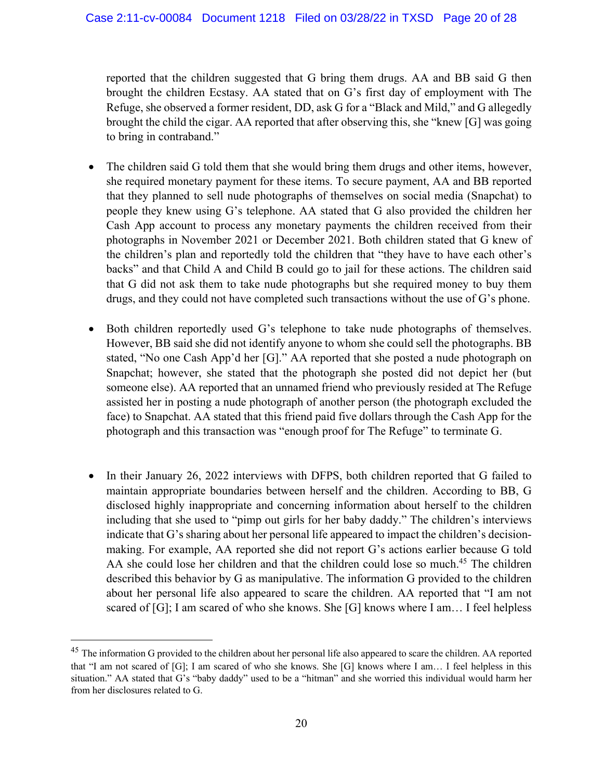reported that the children suggested that G bring them drugs. AA and BB said G then brought the children Ecstasy. AA stated that on G's first day of employment with The Refuge, she observed a former resident, DD, ask G for a "Black and Mild," and G allegedly brought the child the cigar. AA reported that after observing this, she "knew [G] was going to bring in contraband."

- The children said G told them that she would bring them drugs and other items, however, she required monetary payment for these items. To secure payment, AA and BB reported that they planned to sell nude photographs of themselves on social media (Snapchat) to people they knew using G's telephone. AA stated that G also provided the children her Cash App account to process any monetary payments the children received from their photographs in November 2021 or December 2021. Both children stated that G knew of the children's plan and reportedly told the children that "they have to have each other's backs" and that Child A and Child B could go to jail for these actions. The children said that G did not ask them to take nude photographs but she required money to buy them drugs, and they could not have completed such transactions without the use of G's phone.
- Both children reportedly used G's telephone to take nude photographs of themselves. However, BB said she did not identify anyone to whom she could sell the photographs. BB stated, "No one Cash App'd her [G]." AA reported that she posted a nude photograph on Snapchat; however, she stated that the photograph she posted did not depict her (but someone else). AA reported that an unnamed friend who previously resided at The Refuge assisted her in posting a nude photograph of another person (the photograph excluded the face) to Snapchat. AA stated that this friend paid five dollars through the Cash App for the photograph and this transaction was "enough proof for The Refuge" to terminate G.
- In their January 26, 2022 interviews with DFPS, both children reported that G failed to maintain appropriate boundaries between herself and the children. According to BB, G disclosed highly inappropriate and concerning information about herself to the children including that she used to "pimp out girls for her baby daddy." The children's interviews indicate that G's sharing about her personal life appeared to impact the children's decisionmaking. For example, AA reported she did not report G's actions earlier because G told AA she could lose her children and that the children could lose so much.<sup>45</sup> The children described this behavior by G as manipulative. The information G provided to the children about her personal life also appeared to scare the children. AA reported that "I am not scared of [G]; I am scared of who she knows. She [G] knows where I am… I feel helpless

<sup>&</sup>lt;sup>45</sup> The information G provided to the children about her personal life also appeared to scare the children. AA reported that "I am not scared of [G]; I am scared of who she knows. She [G] knows where I am… I feel helpless in this situation." AA stated that G's "baby daddy" used to be a "hitman" and she worried this individual would harm her from her disclosures related to G.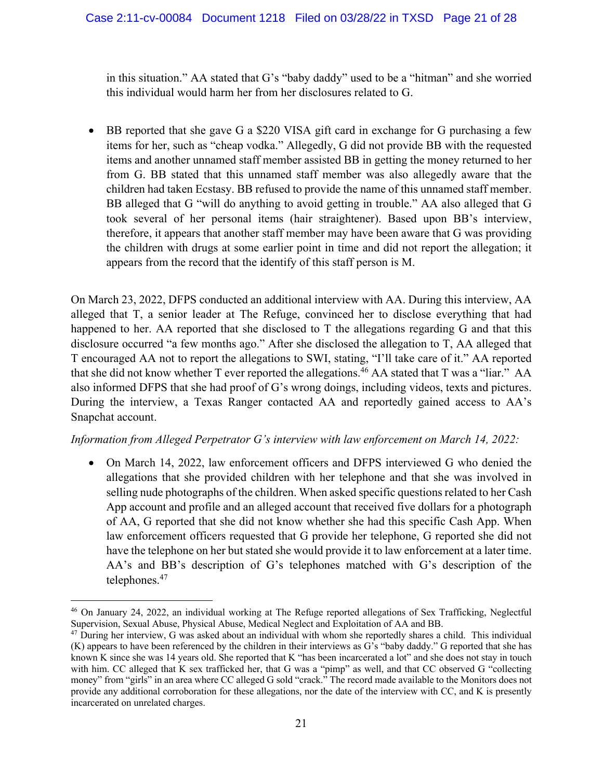in this situation." AA stated that G's "baby daddy" used to be a "hitman" and she worried this individual would harm her from her disclosures related to G.

• BB reported that she gave G a \$220 VISA gift card in exchange for G purchasing a few items for her, such as "cheap vodka." Allegedly, G did not provide BB with the requested items and another unnamed staff member assisted BB in getting the money returned to her from G. BB stated that this unnamed staff member was also allegedly aware that the children had taken Ecstasy. BB refused to provide the name of this unnamed staff member. BB alleged that G "will do anything to avoid getting in trouble." AA also alleged that G took several of her personal items (hair straightener). Based upon BB's interview, therefore, it appears that another staff member may have been aware that G was providing the children with drugs at some earlier point in time and did not report the allegation; it appears from the record that the identify of this staff person is M.

On March 23, 2022, DFPS conducted an additional interview with AA. During this interview, AA alleged that T, a senior leader at The Refuge, convinced her to disclose everything that had happened to her. AA reported that she disclosed to T the allegations regarding G and that this disclosure occurred "a few months ago." After she disclosed the allegation to T, AA alleged that T encouraged AA not to report the allegations to SWI, stating, "I'll take care of it." AA reported that she did not know whether T ever reported the allegations.<sup>46</sup> AA stated that T was a "liar." AA also informed DFPS that she had proof of G's wrong doings, including videos, texts and pictures. During the interview, a Texas Ranger contacted AA and reportedly gained access to AA's Snapchat account.

# *Information from Alleged Perpetrator G's interview with law enforcement on March 14, 2022:*

• On March 14, 2022, law enforcement officers and DFPS interviewed G who denied the allegations that she provided children with her telephone and that she was involved in selling nude photographs of the children. When asked specific questions related to her Cash App account and profile and an alleged account that received five dollars for a photograph of AA, G reported that she did not know whether she had this specific Cash App. When law enforcement officers requested that G provide her telephone, G reported she did not have the telephone on her but stated she would provide it to law enforcement at a later time. AA's and BB's description of G's telephones matched with G's description of the telephones. 47

<sup>46</sup> On January 24, 2022, an individual working at The Refuge reported allegations of Sex Trafficking, Neglectful Supervision, Sexual Abuse, Physical Abuse, Medical Neglect and Exploitation of AA and BB.

 $47$  During her interview, G was asked about an individual with whom she reportedly shares a child. This individual (K) appears to have been referenced by the children in their interviews as G's "baby daddy." G reported that she has known K since she was 14 years old. She reported that K "has been incarcerated a lot" and she does not stay in touch with him. CC alleged that K sex trafficked her, that G was a "pimp" as well, and that CC observed G "collecting money" from "girls" in an area where CC alleged G sold "crack." The record made available to the Monitors does not provide any additional corroboration for these allegations, nor the date of the interview with CC, and K is presently incarcerated on unrelated charges.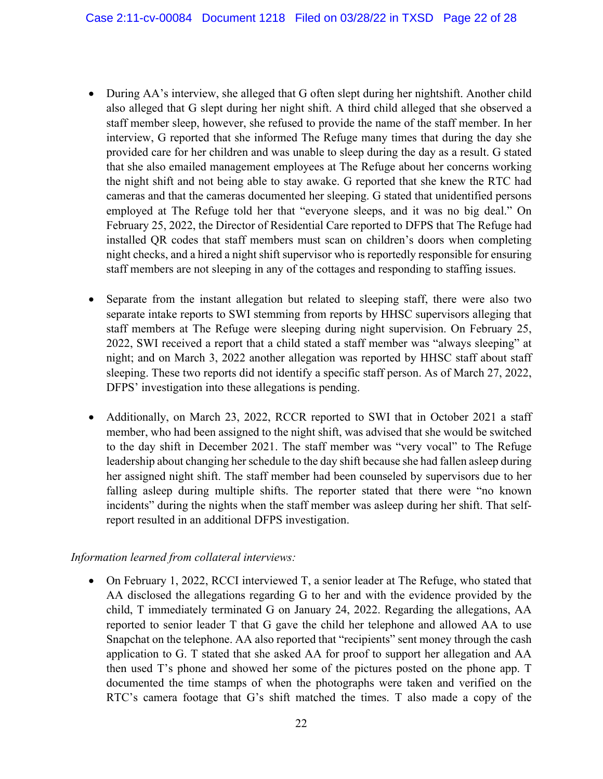- During AA's interview, she alleged that G often slept during her nightshift. Another child also alleged that G slept during her night shift. A third child alleged that she observed a staff member sleep, however, she refused to provide the name of the staff member. In her interview, G reported that she informed The Refuge many times that during the day she provided care for her children and was unable to sleep during the day as a result. G stated that she also emailed management employees at The Refuge about her concerns working the night shift and not being able to stay awake. G reported that she knew the RTC had cameras and that the cameras documented her sleeping. G stated that unidentified persons employed at The Refuge told her that "everyone sleeps, and it was no big deal." On February 25, 2022, the Director of Residential Care reported to DFPS that The Refuge had installed QR codes that staff members must scan on children's doors when completing night checks, and a hired a night shift supervisor who is reportedly responsible for ensuring staff members are not sleeping in any of the cottages and responding to staffing issues.
- Separate from the instant allegation but related to sleeping staff, there were also two separate intake reports to SWI stemming from reports by HHSC supervisors alleging that staff members at The Refuge were sleeping during night supervision. On February 25, 2022, SWI received a report that a child stated a staff member was "always sleeping" at night; and on March 3, 2022 another allegation was reported by HHSC staff about staff sleeping. These two reports did not identify a specific staff person. As of March 27, 2022, DFPS' investigation into these allegations is pending.
- Additionally, on March 23, 2022, RCCR reported to SWI that in October 2021 a staff member, who had been assigned to the night shift, was advised that she would be switched to the day shift in December 2021. The staff member was "very vocal" to The Refuge leadership about changing her schedule to the day shift because she had fallen asleep during her assigned night shift. The staff member had been counseled by supervisors due to her falling asleep during multiple shifts. The reporter stated that there were "no known incidents" during the nights when the staff member was asleep during her shift. That selfreport resulted in an additional DFPS investigation.

# *Information learned from collateral interviews:*

• On February 1, 2022, RCCI interviewed T, a senior leader at The Refuge, who stated that AA disclosed the allegations regarding G to her and with the evidence provided by the child, T immediately terminated G on January 24, 2022. Regarding the allegations, AA reported to senior leader T that G gave the child her telephone and allowed AA to use Snapchat on the telephone. AA also reported that "recipients" sent money through the cash application to G. T stated that she asked AA for proof to support her allegation and AA then used T's phone and showed her some of the pictures posted on the phone app. T documented the time stamps of when the photographs were taken and verified on the RTC's camera footage that G's shift matched the times. T also made a copy of the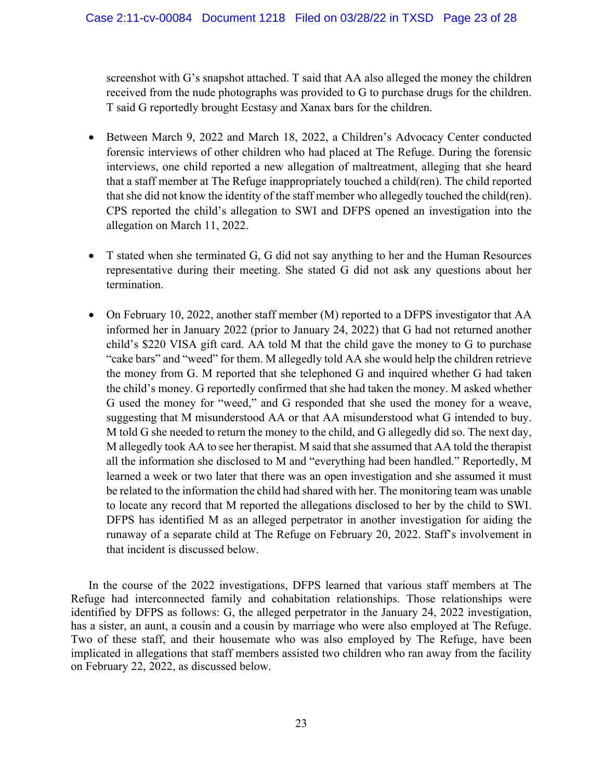screenshot with G's snapshot attached. T said that AA also alleged the money the children received from the nude photographs was provided to G to purchase drugs for the children. T said G reportedly brought Ecstasy and Xanax bars for the children.

- Between March 9, 2022 and March 18, 2022, a Children's Advocacy Center conducted forensic interviews of other children who had placed at The Refuge. During the forensic interviews, one child reported a new allegation of maltreatment, alleging that she heard that a staff member at The Refuge inappropriately touched a child(ren). The child reported that she did not know the identity of the staff member who allegedly touched the child(ren). CPS reported the child's allegation to SWI and DFPS opened an investigation into the allegation on March 11, 2022.
- T stated when she terminated G, G did not say anything to her and the Human Resources representative during their meeting. She stated G did not ask any questions about her termination.
- On February 10, 2022, another staff member (M) reported to a DFPS investigator that AA informed her in January 2022 (prior to January 24, 2022) that G had not returned another child's \$220 VISA gift card. AA told M that the child gave the money to G to purchase "cake bars" and "weed" for them. M allegedly told AA she would help the children retrieve the money from G. M reported that she telephoned G and inquired whether G had taken the child's money. G reportedly confirmed that she had taken the money. M asked whether G used the money for "weed," and G responded that she used the money for a weave, suggesting that M misunderstood AA or that AA misunderstood what G intended to buy. M told G she needed to return the money to the child, and G allegedly did so. The next day, M allegedly took AA to see her therapist. M said that she assumed that AA told the therapist all the information she disclosed to M and "everything had been handled." Reportedly, M learned a week or two later that there was an open investigation and she assumed it must be related to the information the child had shared with her. The monitoring team was unable to locate any record that M reported the allegations disclosed to her by the child to SWI. DFPS has identified M as an alleged perpetrator in another investigation for aiding the runaway of a separate child at The Refuge on February 20, 2022. Staff's involvement in that incident is discussed below.

In the course of the 2022 investigations, DFPS learned that various staff members at The Refuge had interconnected family and cohabitation relationships. Those relationships were identified by DFPS as follows: G, the alleged perpetrator in the January 24, 2022 investigation, has a sister, an aunt, a cousin and a cousin by marriage who were also employed at The Refuge. Two of these staff, and their housemate who was also employed by The Refuge, have been implicated in allegations that staff members assisted two children who ran away from the facility on February 22, 2022, as discussed below.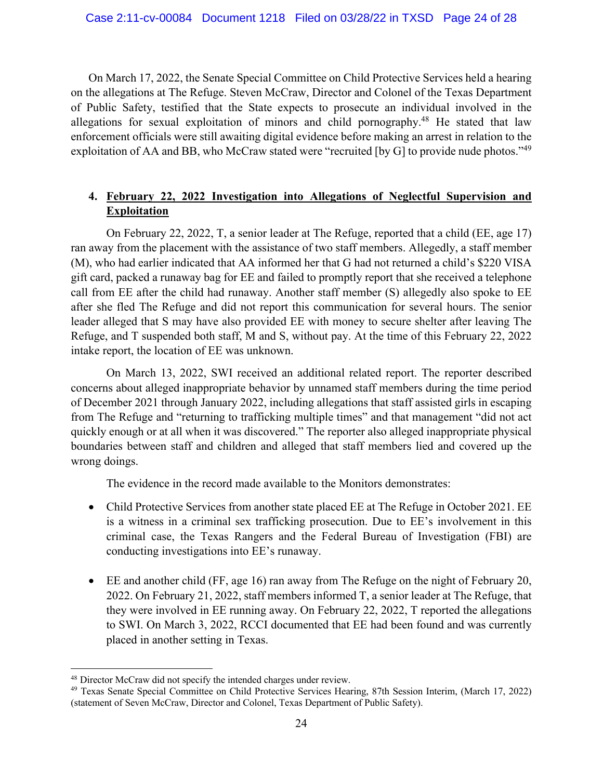On March 17, 2022, the Senate Special Committee on Child Protective Services held a hearing on the allegations at The Refuge. Steven McCraw, Director and Colonel of the Texas Department of Public Safety, testified that the State expects to prosecute an individual involved in the allegations for sexual exploitation of minors and child pornography. <sup>48</sup> He stated that law enforcement officials were still awaiting digital evidence before making an arrest in relation to the exploitation of AA and BB, who McCraw stated were "recruited [by G] to provide nude photos."<sup>49</sup>

# **4. February 22, 2022 Investigation into Allegations of Neglectful Supervision and Exploitation**

On February 22, 2022, T, a senior leader at The Refuge, reported that a child (EE, age 17) ran away from the placement with the assistance of two staff members. Allegedly, a staff member (M), who had earlier indicated that AA informed her that G had not returned a child's \$220 VISA gift card, packed a runaway bag for EE and failed to promptly report that she received a telephone call from EE after the child had runaway. Another staff member (S) allegedly also spoke to EE after she fled The Refuge and did not report this communication for several hours. The senior leader alleged that S may have also provided EE with money to secure shelter after leaving The Refuge, and T suspended both staff, M and S, without pay. At the time of this February 22, 2022 intake report, the location of EE was unknown.

On March 13, 2022, SWI received an additional related report. The reporter described concerns about alleged inappropriate behavior by unnamed staff members during the time period of December 2021 through January 2022, including allegations that staff assisted girls in escaping from The Refuge and "returning to trafficking multiple times" and that management "did not act quickly enough or at all when it was discovered." The reporter also alleged inappropriate physical boundaries between staff and children and alleged that staff members lied and covered up the wrong doings.

The evidence in the record made available to the Monitors demonstrates:

- Child Protective Services from another state placed EE at The Refuge in October 2021. EE is a witness in a criminal sex trafficking prosecution. Due to EE's involvement in this criminal case, the Texas Rangers and the Federal Bureau of Investigation (FBI) are conducting investigations into EE's runaway.
- EE and another child (FF, age 16) ran away from The Refuge on the night of February 20, 2022. On February 21, 2022, staff members informed T, a senior leader at The Refuge, that they were involved in EE running away. On February 22, 2022, T reported the allegations to SWI. On March 3, 2022, RCCI documented that EE had been found and was currently placed in another setting in Texas.

<sup>&</sup>lt;sup>48</sup> Director McCraw did not specify the intended charges under review.<br><sup>49</sup> Texas Senate Special Committee on Child Protective Services Hearing, 87th Session Interim, (March 17, 2022) (statement of Seven McCraw, Director and Colonel, Texas Department of Public Safety).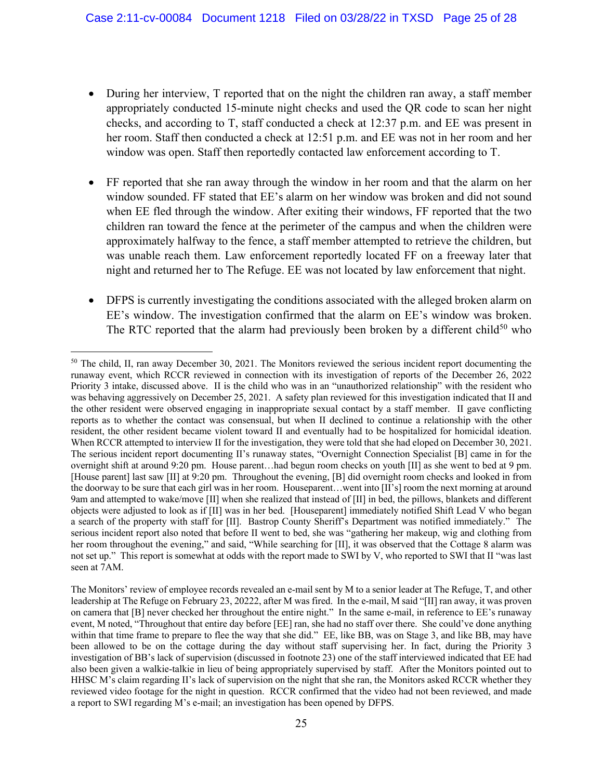- During her interview, T reported that on the night the children ran away, a staff member appropriately conducted 15-minute night checks and used the QR code to scan her night checks, and according to T, staff conducted a check at 12:37 p.m. and EE was present in her room. Staff then conducted a check at 12:51 p.m. and EE was not in her room and her window was open. Staff then reportedly contacted law enforcement according to T.
- FF reported that she ran away through the window in her room and that the alarm on her window sounded. FF stated that EE's alarm on her window was broken and did not sound when EE fled through the window. After exiting their windows, FF reported that the two children ran toward the fence at the perimeter of the campus and when the children were approximately halfway to the fence, a staff member attempted to retrieve the children, but was unable reach them. Law enforcement reportedly located FF on a freeway later that night and returned her to The Refuge. EE was not located by law enforcement that night.
- DFPS is currently investigating the conditions associated with the alleged broken alarm on EE's window. The investigation confirmed that the alarm on EE's window was broken. The RTC reported that the alarm had previously been broken by a different child<sup>50</sup> who

<sup>&</sup>lt;sup>50</sup> The child, II, ran away December 30, 2021. The Monitors reviewed the serious incident report documenting the runaway event, which RCCR reviewed in connection with its investigation of reports of the December 26, 2022 Priority 3 intake, discussed above. II is the child who was in an "unauthorized relationship" with the resident who was behaving aggressively on December 25, 2021. A safety plan reviewed for this investigation indicated that II and the other resident were observed engaging in inappropriate sexual contact by a staff member. II gave conflicting reports as to whether the contact was consensual, but when II declined to continue a relationship with the other resident, the other resident became violent toward II and eventually had to be hospitalized for homicidal ideation. When RCCR attempted to interview II for the investigation, they were told that she had eloped on December 30, 2021. The serious incident report documenting II's runaway states, "Overnight Connection Specialist [B] came in for the overnight shift at around 9:20 pm. House parent…had begun room checks on youth [II] as she went to bed at 9 pm. [House parent] last saw [II] at 9:20 pm. Throughout the evening, [B] did overnight room checks and looked in from the doorway to be sure that each girl was in her room. Houseparent…went into [II's] room the next morning at around 9am and attempted to wake/move [II] when she realized that instead of [II] in bed, the pillows, blankets and different objects were adjusted to look as if [II] was in her bed. [Houseparent] immediately notified Shift Lead V who began a search of the property with staff for [II]. Bastrop County Sheriff's Department was notified immediately." The serious incident report also noted that before II went to bed, she was "gathering her makeup, wig and clothing from her room throughout the evening," and said, "While searching for [II], it was observed that the Cottage 8 alarm was not set up." This report is somewhat at odds with the report made to SWI by V, who reported to SWI that II "was last seen at 7AM.

The Monitors' review of employee records revealed an e-mail sent by M to a senior leader at The Refuge, T, and other leadership at The Refuge on February 23, 20222, after M was fired. In the e-mail, M said "[II] ran away, it was proven on camera that [B] never checked her throughout the entire night." In the same e-mail, in reference to EE's runaway event, M noted, "Throughout that entire day before [EE] ran, she had no staff over there. She could've done anything within that time frame to prepare to flee the way that she did." EE, like BB, was on Stage 3, and like BB, may have been allowed to be on the cottage during the day without staff supervising her. In fact, during the Priority 3 investigation of BB's lack of supervision (discussed in footnote 23) one of the staff interviewed indicated that EE had also been given a walkie-talkie in lieu of being appropriately supervised by staff. After the Monitors pointed out to HHSC M's claim regarding II's lack of supervision on the night that she ran, the Monitors asked RCCR whether they reviewed video footage for the night in question. RCCR confirmed that the video had not been reviewed, and made a report to SWI regarding M's e-mail; an investigation has been opened by DFPS.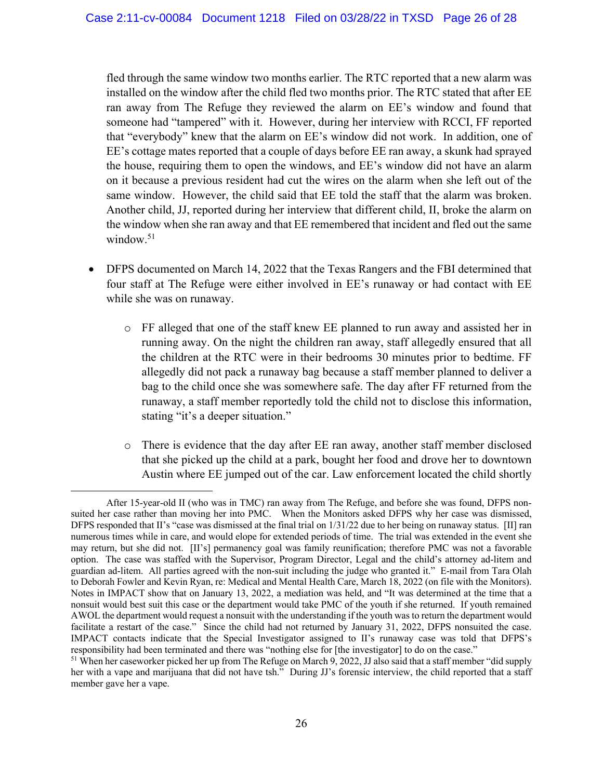fled through the same window two months earlier. The RTC reported that a new alarm was installed on the window after the child fled two months prior. The RTC stated that after EE ran away from The Refuge they reviewed the alarm on EE's window and found that someone had "tampered" with it. However, during her interview with RCCI, FF reported that "everybody" knew that the alarm on EE's window did not work. In addition, one of EE's cottage mates reported that a couple of days before EE ran away, a skunk had sprayed the house, requiring them to open the windows, and EE's window did not have an alarm on it because a previous resident had cut the wires on the alarm when she left out of the same window. However, the child said that EE told the staff that the alarm was broken. Another child, JJ, reported during her interview that different child, II, broke the alarm on the window when she ran away and that EE remembered that incident and fled out the same window. $51$ 

- DFPS documented on March 14, 2022 that the Texas Rangers and the FBI determined that four staff at The Refuge were either involved in EE's runaway or had contact with EE while she was on runaway.
	- o FF alleged that one of the staff knew EE planned to run away and assisted her in running away. On the night the children ran away, staff allegedly ensured that all the children at the RTC were in their bedrooms 30 minutes prior to bedtime. FF allegedly did not pack a runaway bag because a staff member planned to deliver a bag to the child once she was somewhere safe. The day after FF returned from the runaway, a staff member reportedly told the child not to disclose this information, stating "it's a deeper situation."
	- o There is evidence that the day after EE ran away, another staff member disclosed that she picked up the child at a park, bought her food and drove her to downtown Austin where EE jumped out of the car. Law enforcement located the child shortly

After 15-year-old II (who was in TMC) ran away from The Refuge, and before she was found, DFPS nonsuited her case rather than moving her into PMC. When the Monitors asked DFPS why her case was dismissed, DFPS responded that II's "case was dismissed at the final trial on 1/31/22 due to her being on runaway status. [II] ran numerous times while in care, and would elope for extended periods of time. The trial was extended in the event she may return, but she did not. [II's] permanency goal was family reunification; therefore PMC was not a favorable option. The case was staffed with the Supervisor, Program Director, Legal and the child's attorney ad-litem and guardian ad-litem. All parties agreed with the non-suit including the judge who granted it." E-mail from Tara Olah to Deborah Fowler and Kevin Ryan, re: Medical and Mental Health Care, March 18, 2022 (on file with the Monitors). Notes in IMPACT show that on January 13, 2022, a mediation was held, and "It was determined at the time that a nonsuit would best suit this case or the department would take PMC of the youth if she returned. If youth remained AWOL the department would request a nonsuit with the understanding if the youth was to return the department would facilitate a restart of the case." Since the child had not returned by January 31, 2022, DFPS nonsuited the case. IMPACT contacts indicate that the Special Investigator assigned to II's runaway case was told that DFPS's responsibility had been terminated and there was "nothing else for [the investigator] to do on the case." 51 When her caseworker picked her up from The Refuge on March 9, 2022, JJ also said that a staff member "did supply

her with a vape and marijuana that did not have tsh." During JJ's forensic interview, the child reported that a staff member gave her a vape.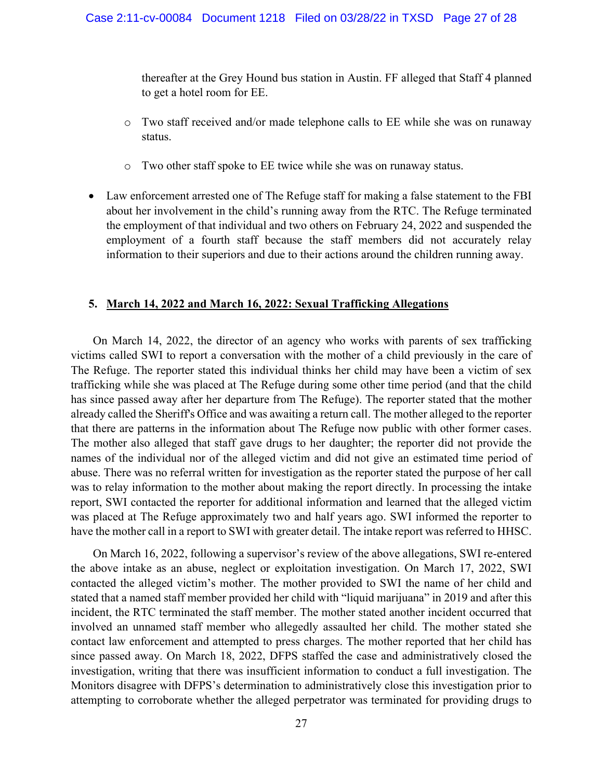thereafter at the Grey Hound bus station in Austin. FF alleged that Staff 4 planned to get a hotel room for EE.

- o Two staff received and/or made telephone calls to EE while she was on runaway status.
- o Two other staff spoke to EE twice while she was on runaway status.
- Law enforcement arrested one of The Refuge staff for making a false statement to the FBI about her involvement in the child's running away from the RTC. The Refuge terminated the employment of that individual and two others on February 24, 2022 and suspended the employment of a fourth staff because the staff members did not accurately relay information to their superiors and due to their actions around the children running away.

### **5. March 14, 2022 and March 16, 2022: Sexual Trafficking Allegations**

On March 14, 2022, the director of an agency who works with parents of sex trafficking victims called SWI to report a conversation with the mother of a child previously in the care of The Refuge. The reporter stated this individual thinks her child may have been a victim of sex trafficking while she was placed at The Refuge during some other time period (and that the child has since passed away after her departure from The Refuge). The reporter stated that the mother already called the Sheriff's Office and was awaiting a return call. The mother alleged to the reporter that there are patterns in the information about The Refuge now public with other former cases. The mother also alleged that staff gave drugs to her daughter; the reporter did not provide the names of the individual nor of the alleged victim and did not give an estimated time period of abuse. There was no referral written for investigation as the reporter stated the purpose of her call was to relay information to the mother about making the report directly. In processing the intake report, SWI contacted the reporter for additional information and learned that the alleged victim was placed at The Refuge approximately two and half years ago. SWI informed the reporter to have the mother call in a report to SWI with greater detail. The intake report was referred to HHSC.

On March 16, 2022, following a supervisor's review of the above allegations, SWI re-entered the above intake as an abuse, neglect or exploitation investigation. On March 17, 2022, SWI contacted the alleged victim's mother. The mother provided to SWI the name of her child and stated that a named staff member provided her child with "liquid marijuana" in 2019 and after this incident, the RTC terminated the staff member. The mother stated another incident occurred that involved an unnamed staff member who allegedly assaulted her child. The mother stated she contact law enforcement and attempted to press charges. The mother reported that her child has since passed away. On March 18, 2022, DFPS staffed the case and administratively closed the investigation, writing that there was insufficient information to conduct a full investigation. The Monitors disagree with DFPS's determination to administratively close this investigation prior to attempting to corroborate whether the alleged perpetrator was terminated for providing drugs to